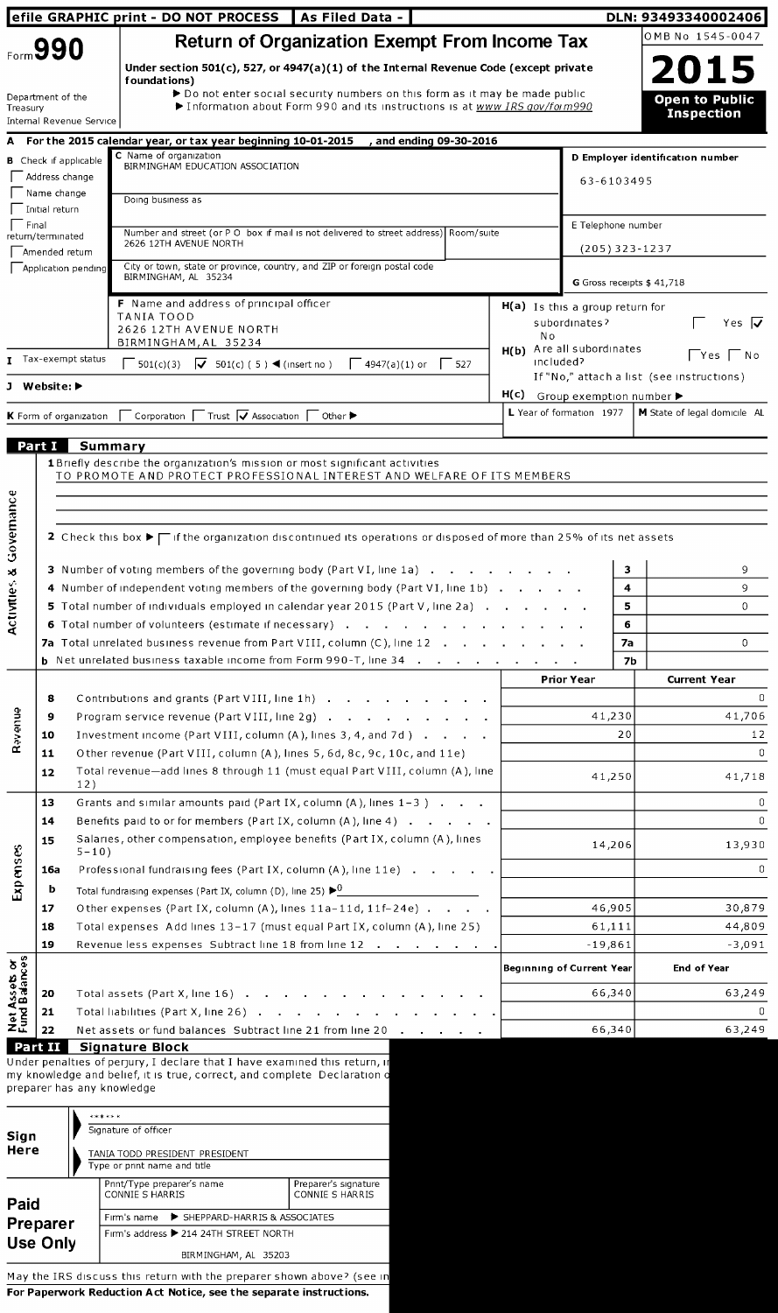|                                |                               |                               | efile GRAPHIC print - DO NOT PROCESS   As Filed Data -                                                                                                    |                                        |                                                     |         | DLN: 93493340002406                       |
|--------------------------------|-------------------------------|-------------------------------|-----------------------------------------------------------------------------------------------------------------------------------------------------------|----------------------------------------|-----------------------------------------------------|---------|-------------------------------------------|
|                                | Form 990                      |                               | <b>Return of Organization Exempt From Income Tax</b>                                                                                                      |                                        |                                                     |         | OMB No 1545-0047                          |
|                                |                               |                               | Under section 501(c), 527, or 4947(a)(1) of the Internal Revenue Code (except private                                                                     |                                        |                                                     |         | 2015                                      |
|                                |                               |                               | foundations)                                                                                                                                              |                                        |                                                     |         |                                           |
| Treasury                       | Department of the             |                               | ▶ Do not enter social security numbers on this form as it may be made public<br>Information about Form 990 and its instructions is at www IRS gov/foim990 |                                        |                                                     |         | <b>Open to Public</b>                     |
|                                |                               | Internal Revenue Service      |                                                                                                                                                           |                                        |                                                     |         | <b>Inspection</b>                         |
|                                |                               |                               | and ending 09-30-2016<br>A For the 2015 calendar year, or tax year beginning 10-01-2015                                                                   |                                        |                                                     |         |                                           |
|                                |                               | <b>B</b> Check if applicable  | C Name of organization<br>BIRMINGHAM EDUCATION ASSOCIATION                                                                                                |                                        |                                                     |         | D Employer identification number          |
|                                | Address change<br>Name change |                               |                                                                                                                                                           |                                        | 63-6103495                                          |         |                                           |
|                                | Initial return                |                               | Doing business as                                                                                                                                         |                                        |                                                     |         |                                           |
| Final                          | return/terminated             |                               | Number and street (or P O box if mail is not delivered to street address) Room/suite                                                                      |                                        | E Telephone number                                  |         |                                           |
|                                | Amended return                |                               | 2626 12TH AVENUE NORTH                                                                                                                                    |                                        | $(205)$ 323-1237                                    |         |                                           |
|                                |                               | Application pending           | City or town, state or province, country, and ZIP or foreign postal code<br>BIRMINGHAM, AL 35234                                                          |                                        |                                                     |         |                                           |
|                                |                               |                               |                                                                                                                                                           |                                        |                                                     |         | G Gross receipts \$41,718                 |
|                                |                               |                               | F Name and address of principal officer<br><b>TANIA TOOD</b>                                                                                              |                                        | $H(a)$ Is this a group return for<br>subordinates?  |         | Yes $\overline{\mathbf{v}}$               |
|                                |                               |                               | 2626 12TH AVENUE NORTH<br>BIRMINGHAM, AL 35234                                                                                                            | N o                                    |                                                     |         |                                           |
|                                |                               | T Tax-exempt status           | $\sqrt{501(c)(3)}$ $\sqrt{501(c)(5)}$ (insert no)<br>  $4947(a)(1)$ or   527                                                                              | H(b) Are all subordinates<br>included? |                                                     |         | $\Box$ Yes $\Box$ No                      |
|                                | J Website:                    |                               |                                                                                                                                                           |                                        |                                                     |         | If "No," attach a list (see instructions) |
|                                |                               |                               |                                                                                                                                                           |                                        | $H(c)$ Group exemption number $\blacktriangleright$ |         |                                           |
|                                |                               | <b>K</b> Form of organization | $\Box$ Corporation $\Box$ Trust $\Box$ Association $\Box$ Other $\blacktriangleright$                                                                     |                                        | L Year of formation 1977                            |         | M State of legal domicile AL              |
|                                | Part I                        | Summary                       |                                                                                                                                                           |                                        |                                                     |         |                                           |
|                                |                               |                               | <b>1</b> Briefly describe the organization's mission or most significant activities                                                                       |                                        |                                                     |         |                                           |
|                                |                               |                               | TO PROMOTE AND PROTECT PROFESSIONAL INTEREST AND WELFARE OF ITS MEMBERS                                                                                   |                                        |                                                     |         |                                           |
|                                |                               |                               |                                                                                                                                                           |                                        |                                                     |         |                                           |
|                                |                               |                               |                                                                                                                                                           |                                        |                                                     |         |                                           |
| Governance                     |                               |                               | 2 Check this box $\blacktriangleright \Box$ if the organization discontinued its operations or disposed of more than 25% of its net assets                |                                        |                                                     |         |                                           |
|                                |                               |                               | 3 Number of voting members of the governing body (Part VI, line 1a)                                                                                       |                                        |                                                     | 3       | 9                                         |
| Activities &                   |                               |                               | 4 Number of independent voting members of the governing body (Part VI, line 1b) $\cdot$ $\cdot$ $\cdot$                                                   |                                        |                                                     | 4       | 9                                         |
|                                |                               |                               | 5 Total number of individuals employed in calendar year 2015 (Part V, line 2a).                                                                           |                                        |                                                     | 5       | $\Omega$                                  |
|                                |                               |                               | <b>6</b> Total number of volunteers (estimate if necessary)<br><b>7a</b> Total unrelated business revenue from Part VIII, column (C), line 12             |                                        |                                                     | 6<br>7а | 0                                         |
|                                |                               |                               | <b>b</b> Net unrelated business taxable income from Form 990-T, line 34<br>$\sim$                                                                         | $\sim$                                 |                                                     | 7b      |                                           |
|                                |                               |                               |                                                                                                                                                           |                                        | <b>Prior Year</b>                                   |         | <b>Current Year</b>                       |
|                                | 8                             |                               | Contributions and grants (Part VIII, line 1h)                                                                                                             |                                        |                                                     |         | 0                                         |
| <b>Revenue</b>                 | 9                             |                               | Program service revenue (Part VIII, line 2g) $\cdots$ $\cdots$ $\cdots$ $\cdots$                                                                          |                                        | 41,230                                              |         | 41,706                                    |
|                                | 10                            |                               | Investment income (Part VIII, column (A), lines 3, 4, and 7d)                                                                                             |                                        |                                                     | 20      | 12                                        |
|                                | 11                            |                               | Other revenue (Part VIII, column (A), lines 5, 6d, 8c, 9c, 10c, and 11e)<br>Total revenue—add lines 8 through 11 (must equal Part VIII, column (A), line  |                                        |                                                     |         | 0                                         |
|                                | 12                            | 12)                           |                                                                                                                                                           |                                        | 41,250                                              |         | 41,718                                    |
|                                | 13                            |                               | Grants and similar amounts paid (Part IX, column $(A)$ , lines $1-3$ ).                                                                                   |                                        |                                                     |         | 0                                         |
|                                | 14                            |                               | Benefits paid to or for members (Part IX, column $(A)$ , line $A$ ) $\ldots$ $\ldots$                                                                     |                                        |                                                     |         | 0                                         |
|                                | 15                            | $5 - 10$ )                    | Salaries, other compensation, employee benefits (Part IX, column (A), lines                                                                               |                                        | 14,206                                              |         | 13,930                                    |
|                                | 16a                           |                               | Professional fundraising fees (Part IX, column (A), line 11e)                                                                                             |                                        |                                                     |         | 0                                         |
| Expenses                       | b                             |                               | Total fundraising expenses (Part IX, column (D), line 25) $\blacktriangleright$ <sup>0</sup>                                                              |                                        |                                                     |         |                                           |
|                                | 17                            |                               | Other expenses (Part IX, column $(A)$ , lines 11a-11d, 11f-24e) $\ldots$                                                                                  |                                        | 46,905                                              |         | 30,879                                    |
|                                | 18                            |                               | Total expenses Add lines 13-17 (must equal Part IX, column (A), line 25)                                                                                  | 61,111                                 | 44,809                                              |         |                                           |
|                                | 19                            |                               | Revenue less expenses Subtract line 18 from line 12                                                                                                       |                                        | $-19,861$                                           |         | -3,091                                    |
|                                |                               |                               |                                                                                                                                                           |                                        | <b>Beginning of Current Year</b>                    |         | <b>End of Year</b>                        |
|                                | 20                            |                               | Total assets (Part X, line 16)                                                                                                                            |                                        | 66,340                                              |         | 63,249                                    |
| Net Assets or<br>Fund Balances | 21                            |                               | Total liabilities (Part X, line 26) $\ldots$ $\ldots$ $\ldots$ $\ldots$                                                                                   |                                        |                                                     |         | 0                                         |
|                                | 22                            |                               | Net assets or fund balances Subtract line 21 from line 20                                                                                                 |                                        | 66,340                                              |         | 63,249                                    |
|                                | Part II                       |                               | <b>Signature Block</b><br>Under penalties of perjury, I declare that I have examined this return, in                                                      |                                        |                                                     |         |                                           |
|                                |                               | preparer has any knowledge    | my knowledge and belief, it is true, correct, and complete Declaration o                                                                                  |                                        |                                                     |         |                                           |
|                                |                               |                               |                                                                                                                                                           |                                        |                                                     |         |                                           |
|                                |                               | ******                        |                                                                                                                                                           |                                        |                                                     |         |                                           |
| Sign<br>Here                   |                               |                               | Signature of officer                                                                                                                                      |                                        |                                                     |         |                                           |
|                                |                               |                               | TANIA TODD PRESIDENT PRESIDENT<br>Type or print name and title                                                                                            |                                        |                                                     |         |                                           |
|                                |                               |                               | <b>Drut/Tune preparar's pame</b><br><b>Proparar's signature</b>                                                                                           |                                        |                                                     |         |                                           |

| Paid                                                                   | Print/Type preparer's name<br>CONNIE S HARRIS | Preparer's signature<br>CONNIE S HARRIS |  |  |  |  |  |
|------------------------------------------------------------------------|-----------------------------------------------|-----------------------------------------|--|--|--|--|--|
| Preparer                                                               | Firm's name > SHEPPARD-HARRIS & ASSOCIATES    |                                         |  |  |  |  |  |
|                                                                        | Firm's address > 214 24TH STREET NORTH        |                                         |  |  |  |  |  |
| <b>Use Only</b>                                                        | BIRMINGHAM, AL 35203                          |                                         |  |  |  |  |  |
| May the IRS discuss this return with the preparer shown above? (see in |                                               |                                         |  |  |  |  |  |

For Paperwork Reduction Act Notice, see the separate instructions.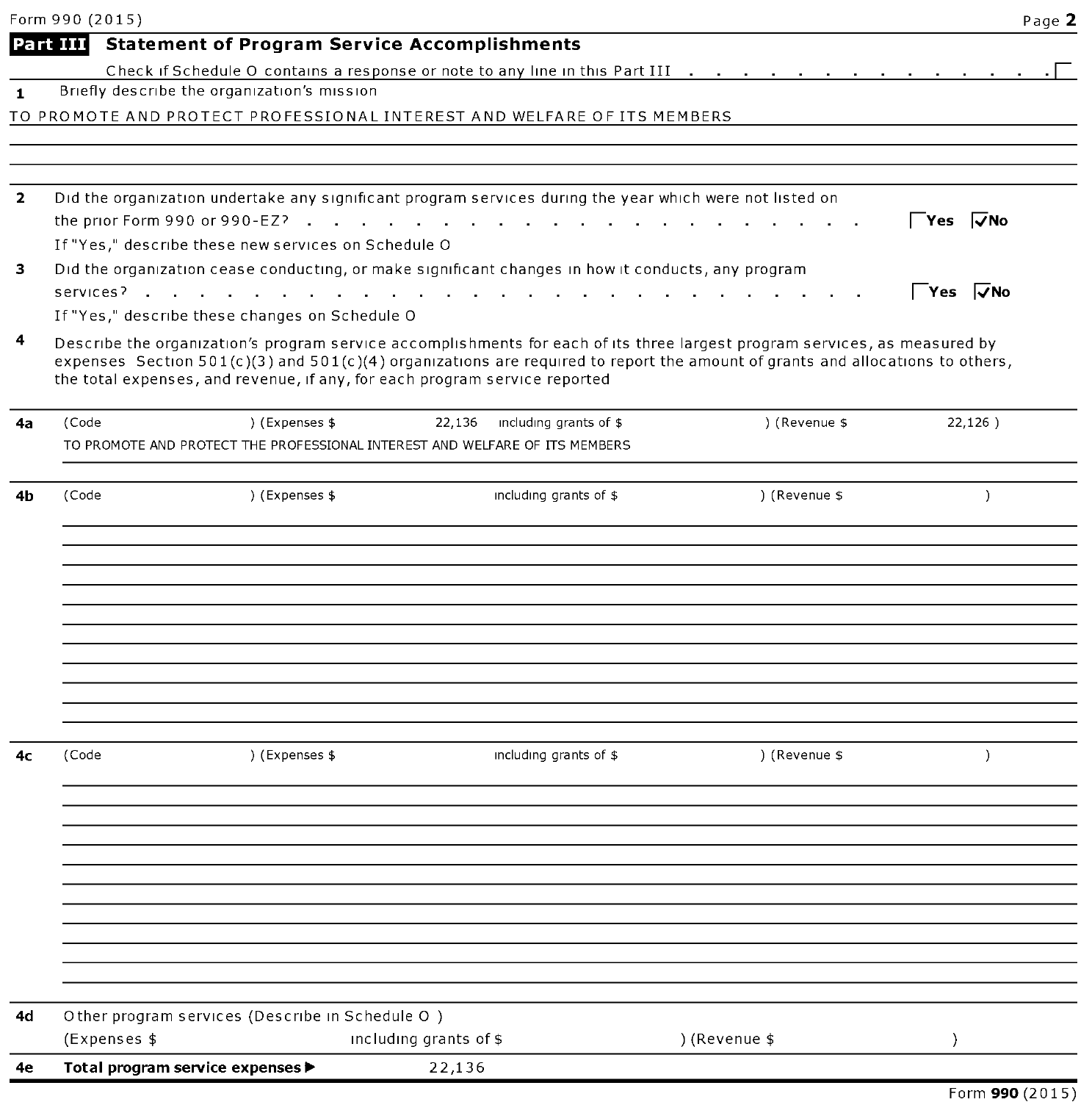|              | Form 990 (2015)                                                                                          |                |                                  |                                                                                                                                                                                                                                                                 | Page 2                      |
|--------------|----------------------------------------------------------------------------------------------------------|----------------|----------------------------------|-----------------------------------------------------------------------------------------------------------------------------------------------------------------------------------------------------------------------------------------------------------------|-----------------------------|
|              | <b>Statement of Program Service Accomplishments</b><br>Part III                                          |                |                                  |                                                                                                                                                                                                                                                                 |                             |
|              |                                                                                                          |                |                                  | Check if Schedule O contains a response or note to any line in this Part III                                                                                                                                                                                    |                             |
| 1            | Briefly describe the organization's mission                                                              |                |                                  |                                                                                                                                                                                                                                                                 |                             |
|              | TO PROMOTE AND PROTECT PROFESSIONAL INTEREST AND WELFARE OF ITS MEMBERS                                  |                |                                  |                                                                                                                                                                                                                                                                 |                             |
|              |                                                                                                          |                |                                  |                                                                                                                                                                                                                                                                 |                             |
| $\mathbf{z}$ | Did the organization undertake any significant program services during the year which were not listed on |                |                                  |                                                                                                                                                                                                                                                                 |                             |
|              | the prior Form 990 or 990-EZ?                                                                            |                |                                  |                                                                                                                                                                                                                                                                 | $\sqrt{Y}$ es $\sqrt{Y}$ No |
|              | If "Yes," describe these new services on Schedule O                                                      |                |                                  |                                                                                                                                                                                                                                                                 |                             |
| з            | Did the organization cease conducting, or make significant changes in how it conducts, any program       |                |                                  |                                                                                                                                                                                                                                                                 | $\sqrt{Y}$ es $\sqrt{Y}$ No |
|              | If "Yes," describe these changes on Schedule O                                                           |                |                                  |                                                                                                                                                                                                                                                                 |                             |
| 4            | the total expenses, and revenue, if any, for each program service reported                               |                |                                  | Describe the organization's program service accomplishments for each of its three largest program services, as measured by<br>expenses Section $501(c)(3)$ and $501(c)(4)$ organizations are required to report the amount of grants and allocations to others, |                             |
| 4a           | (Code                                                                                                    | ) (Expenses \$ | 22,136<br>including grants of \$ | ) (Revenue \$                                                                                                                                                                                                                                                   | 22,126)                     |
|              | TO PROMOTE AND PROTECT THE PROFESSIONAL INTEREST AND WELFARE OF ITS MEMBERS                              |                |                                  |                                                                                                                                                                                                                                                                 |                             |
|              |                                                                                                          |                |                                  |                                                                                                                                                                                                                                                                 |                             |
| 4b           | (Code                                                                                                    | ) (Expenses \$ | including grants of \$           | ) (Revenue \$                                                                                                                                                                                                                                                   | $\lambda$                   |
|              |                                                                                                          |                |                                  |                                                                                                                                                                                                                                                                 |                             |
|              |                                                                                                          |                |                                  |                                                                                                                                                                                                                                                                 |                             |
|              |                                                                                                          |                |                                  |                                                                                                                                                                                                                                                                 |                             |
|              |                                                                                                          |                |                                  |                                                                                                                                                                                                                                                                 |                             |
|              |                                                                                                          |                |                                  |                                                                                                                                                                                                                                                                 |                             |
|              |                                                                                                          |                |                                  |                                                                                                                                                                                                                                                                 |                             |
|              |                                                                                                          |                |                                  |                                                                                                                                                                                                                                                                 |                             |
|              |                                                                                                          |                |                                  |                                                                                                                                                                                                                                                                 |                             |
|              |                                                                                                          |                |                                  |                                                                                                                                                                                                                                                                 |                             |
|              |                                                                                                          |                |                                  |                                                                                                                                                                                                                                                                 |                             |
| 4с           | (Code                                                                                                    | ) (Expenses \$ | including grants of \$           | ) (Revenue \$                                                                                                                                                                                                                                                   | $\lambda$                   |
|              |                                                                                                          |                |                                  |                                                                                                                                                                                                                                                                 |                             |
|              |                                                                                                          |                |                                  |                                                                                                                                                                                                                                                                 |                             |
|              |                                                                                                          |                |                                  |                                                                                                                                                                                                                                                                 |                             |
|              |                                                                                                          |                |                                  |                                                                                                                                                                                                                                                                 |                             |
|              |                                                                                                          |                |                                  |                                                                                                                                                                                                                                                                 |                             |
|              |                                                                                                          |                |                                  |                                                                                                                                                                                                                                                                 |                             |
|              |                                                                                                          |                |                                  |                                                                                                                                                                                                                                                                 |                             |
|              |                                                                                                          |                |                                  |                                                                                                                                                                                                                                                                 |                             |
|              |                                                                                                          |                |                                  |                                                                                                                                                                                                                                                                 |                             |
| 4d           | Other program services (Describe in Schedule O)                                                          |                |                                  |                                                                                                                                                                                                                                                                 |                             |
|              | (Expenses \$                                                                                             |                | including grants of $$$          | ) (Revenue \$                                                                                                                                                                                                                                                   | $\lambda$                   |
| 4е           | Total program service expenses ▶                                                                         |                | 22,136                           |                                                                                                                                                                                                                                                                 |                             |
|              |                                                                                                          |                |                                  |                                                                                                                                                                                                                                                                 |                             |
|              |                                                                                                          |                |                                  |                                                                                                                                                                                                                                                                 | Form 990 (2015)             |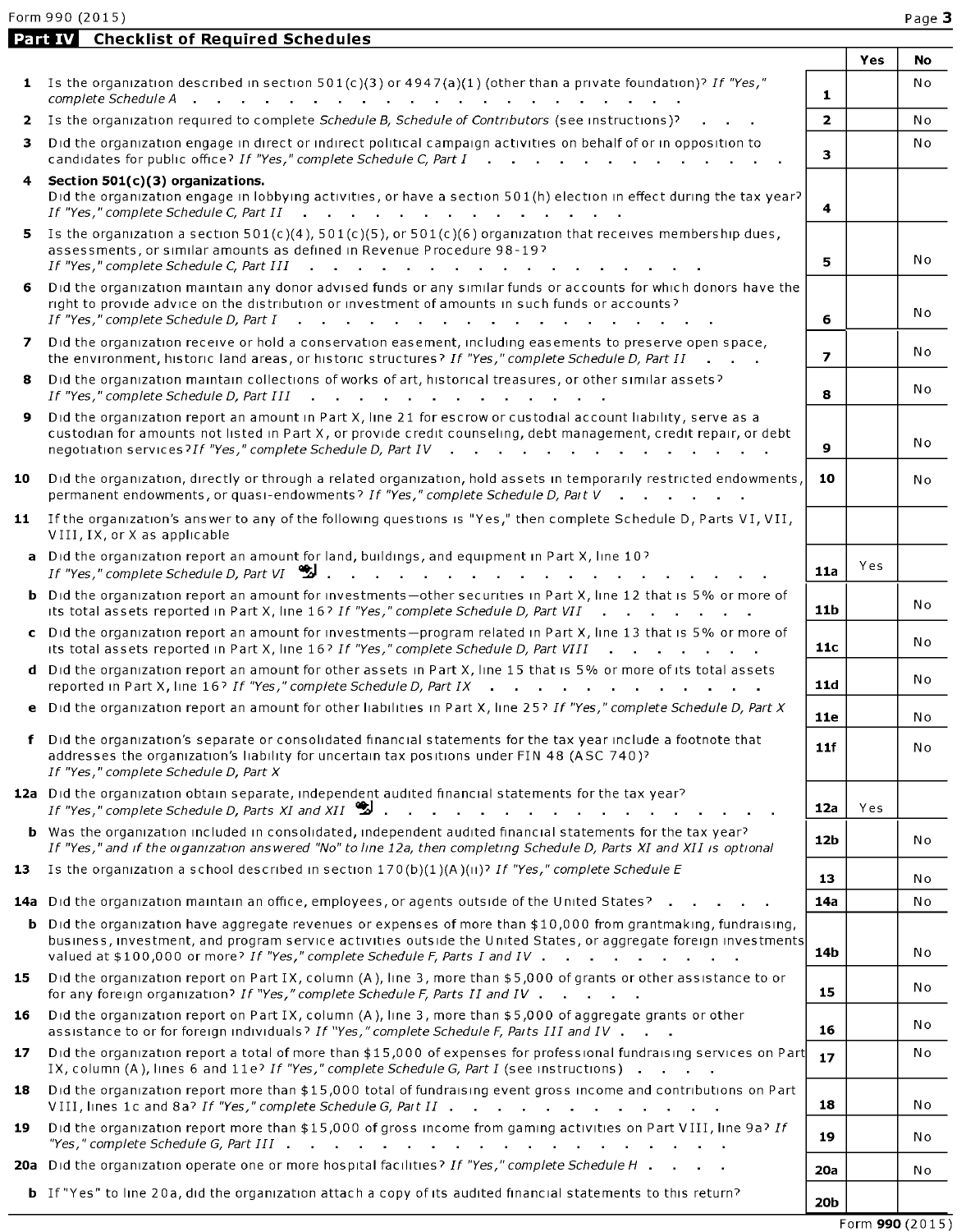|    | <b>Part IV</b> Checklist of Required Schedules                                                                                                                                                                                                                                                                                                                                  |                 |     |     |
|----|---------------------------------------------------------------------------------------------------------------------------------------------------------------------------------------------------------------------------------------------------------------------------------------------------------------------------------------------------------------------------------|-----------------|-----|-----|
|    |                                                                                                                                                                                                                                                                                                                                                                                 |                 | Yes | No  |
|    | 1 Is the organization described in section 501(c)(3) or $4947(a)(1)$ (other than a private foundation)? If "Yes,"                                                                                                                                                                                                                                                               | $\mathbf{1}$    |     | No  |
| 2  | Is the organization required to complete Schedule B, Schedule of Contributors (see instructions)?                                                                                                                                                                                                                                                                               | $\overline{2}$  |     | No  |
| 3  | Did the organization engage in direct or indirect political campaign activities on behalf of or in opposition to<br>candidates for public office? If "Yes," complete Schedule C, Part I                                                                                                                                                                                         | 3               |     | N o |
|    | 4 Section 501(c)(3) organizations.<br>Did the organization engage in lobbying activities, or have a section 501(h) election in effect during the tax year?                                                                                                                                                                                                                      | 4               |     |     |
|    | 5 Is the organization a section $501(c)(4)$ , $501(c)(5)$ , or $501(c)(6)$ organization that receives membership dues,<br>assessments, or similar amounts as defined in Revenue Procedure 98-19?<br>If "Yes," complete Schedule C, Part III<br>the contract of the contract of the contract of the contract of                                                                  | 5               |     | N o |
| 6. | Did the organization maintain any donor advised funds or any similar funds or accounts for which donors have the<br>right to provide advice on the distribution or investment of amounts in such funds or accounts?<br>If "Yes," complete Schedule D, Part I<br>the contract of the contract of the contract of the contract of the contract of the contract of the contract of | 6               |     | N o |
|    | 7 Did the organization receive or hold a conservation easement, including easements to preserve open space,<br>the environment, historic land areas, or historic structures? If "Yes," complete Schedule D, Part II                                                                                                                                                             | $\overline{ }$  |     | No  |
| 8  | Did the organization maintain collections of works of art, historical treasures, or other similar assets?<br>If "Yes," complete Schedule D, Part III<br>the contract of the contract of the contract of the contract of the contract of the contract of the contract of                                                                                                         | 8               |     | No  |
| 9  | Did the organization report an amount in Part X, line 21 for escrow or custodial account liability, serve as a<br>custodian for amounts not listed in Part X, or provide credit counseling, debt management, credit repair, or debt<br>negotiation services? If "Yes," complete Schedule D, Part IV<br>$\sim$                                                                   | 9               |     | No  |
| 10 | Did the organization, directly or through a related organization, hold assets in temporarily restricted endowments,<br>permanent endowments, or quasi-endowments? If "Yes," complete Schedule D, Part V                                                                                                                                                                         | 10              |     | N o |
|    | 11 If the organization's answer to any of the following questions is "Yes," then complete Schedule D, Parts VI, VII,<br>VIII, IX, or X as applicable                                                                                                                                                                                                                            |                 |     |     |
|    | a Did the organization report an amount for land, buildings, and equipment in Part X, line 10?<br>If "Yes," complete Schedule D, Part VI $\mathcal{Z}$<br>design and the contract of the contract of the contract of                                                                                                                                                            | <b>11a</b>      | Yes |     |
|    | b Did the organization report an amount for investments-other securities in Part X, line 12 that is 5% or more of<br>its total assets reported in Part X, line 16? If "Yes," complete Schedule D, Part VII                                                                                                                                                                      | 11 <sub>b</sub> |     | N o |
|    | c Did the organization report an amount for investments-program related in Part X, line 13 that is 5% or more of<br>its total assets reported in Part X, line 16? If "Yes," complete Schedule D, Part VIII                                                                                                                                                                      | 11c             |     | N o |
|    | d Did the organization report an amount for other assets in Part X, line 15 that is 5% or more of its total assets<br>reported in Part X, line 16? If "Yes," complete Schedule D, Part IX                                                                                                                                                                                       | 11d             |     | No  |
|    | e Did the organization report an amount for other liabilities in Part X, line 25? If "Yes," complete Schedule D, Part X                                                                                                                                                                                                                                                         | <b>11e</b>      |     | N o |
|    | f Did the organization's separate or consolidated financial statements for the tax year include a footnote that<br>addresses the organization's liability for uncertain tax positions under FIN 48 (ASC 740)?<br>If "Yes," complete Schedule D, Part X                                                                                                                          | 11f             |     | N o |
|    | 12a Did the organization obtain separate, independent audited financial statements for the tax year?<br>If "Yes," complete Schedule D, Parts XI and XII $\ddot{\ddot{\mathbf{z}}}$ .                                                                                                                                                                                            | 12a             | Yes |     |
|    | b Was the organization included in consolidated, independent audited financial statements for the tax year?<br>If "Yes," and if the organization answered "No" to line 12a, then completing Schedule D, Parts XI and XII is optional                                                                                                                                            | 12b             |     | No  |
|    | 13 Is the organization a school described in section $170(b)(1)(A)(ii)^{7}$ If "Yes," complete Schedule E                                                                                                                                                                                                                                                                       | 13              |     | N o |
|    | <b>14a</b> Did the organization maintain an office, employees, or agents outside of the United States?                                                                                                                                                                                                                                                                          | 14a             |     | No  |
|    | <b>b</b> Did the organization have aggregate revenues or expenses of more than \$10,000 from grantmaking, fundraising,<br>business, investment, and program service activities outside the United States, or aggregate foreign investments<br>valued at \$100,000 or more? If "Yes," complete Schedule F, Parts I and IV                                                        | 14b             |     | No  |
| 15 | Did the organization report on Part IX, column (A), line 3, more than \$5,000 of grants or other assistance to or<br>for any foreign organization? If "Yes," complete Schedule F, Parts II and IV                                                                                                                                                                               | 15              |     | No  |
| 16 | Did the organization report on Part IX, column (A), line 3, more than \$5,000 of aggregate grants or other<br>assistance to or for foreign individuals? If "Yes," complete Schedule F, Parts III and IV                                                                                                                                                                         | 16              |     | No  |
| 17 | Did the organization report a total of more than \$15,000 of expenses for professional fundraising services on Part<br>IX, column (A), lines 6 and 11e? If "Yes," complete Schedule G, Part I (see instructions)                                                                                                                                                                | 17              |     | No  |
| 18 | Did the organization report more than \$15,000 total of fundraising event gross income and contributions on Part<br>VIII, lines 1c and 8a? If "Yes," complete Schedule G, Part II                                                                                                                                                                                               | 18              |     | No  |
| 19 | Did the organization report more than \$15,000 of gross income from gaming activities on Part VIII, line 9a? If                                                                                                                                                                                                                                                                 | 19              |     | No  |
|    | 20a Did the organization operate one or more hospital facilities? If "Yes," complete Schedule H                                                                                                                                                                                                                                                                                 | <b>20a</b>      |     | N o |
|    | <b>b</b> If "Yes" to line 20a, did the organization attach a copy of its audited financial statements to this return?                                                                                                                                                                                                                                                           | 20 <sub>b</sub> |     |     |

 $F \text{orm } 990 (2015)$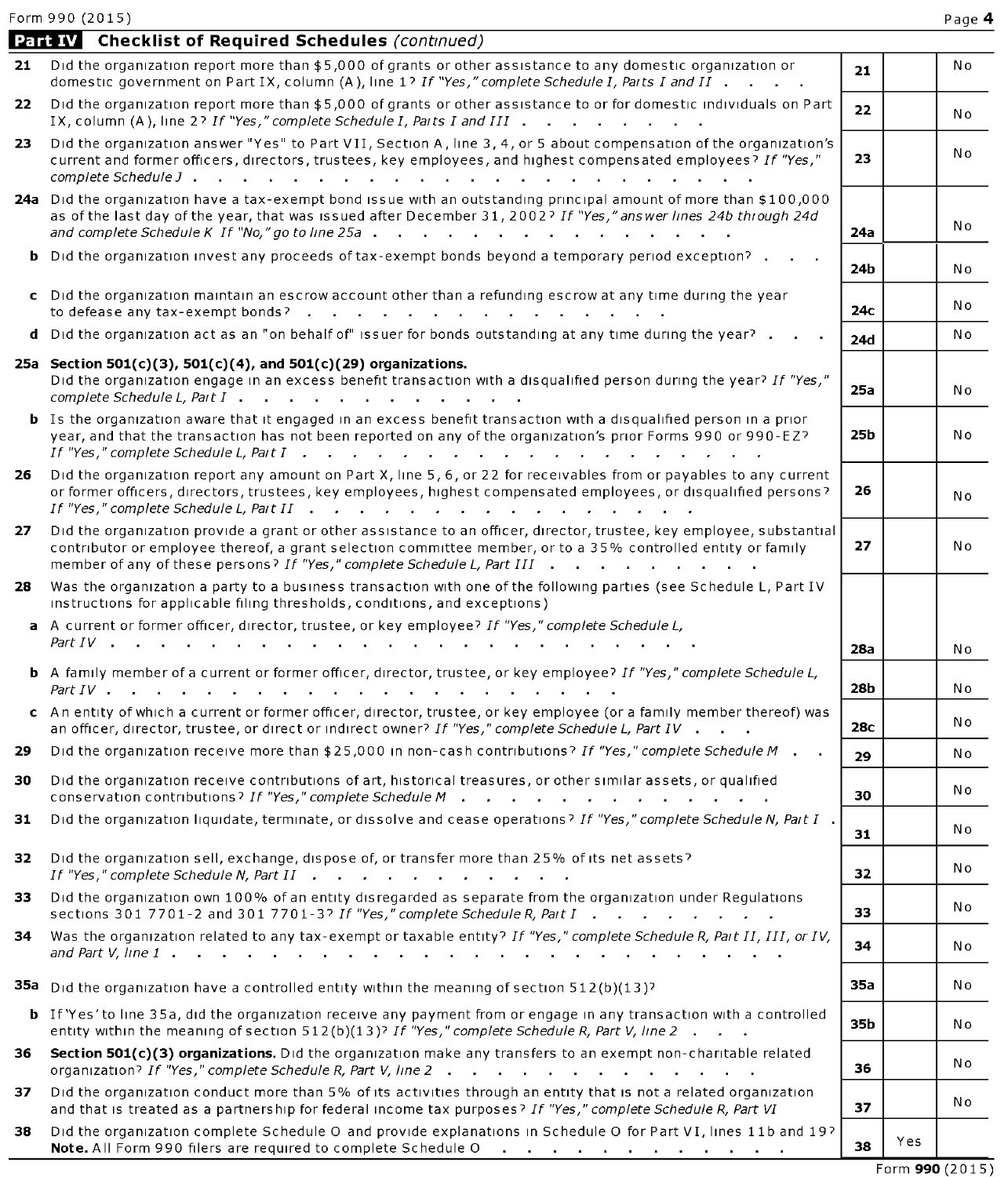|     | <b>Part IV</b> Checklist of Required Schedules (continued)                                                                                                                                                                                                                                                                                                            |                 |     |     |
|-----|-----------------------------------------------------------------------------------------------------------------------------------------------------------------------------------------------------------------------------------------------------------------------------------------------------------------------------------------------------------------------|-----------------|-----|-----|
| 21  | Did the organization report more than \$5,000 of grants or other assistance to any domestic organization or<br>domestic government on Part IX, column (A), line 1? If "Yes," complete Schedule I, Parts I and II                                                                                                                                                      | 21              |     | No  |
| 22. | Did the organization report more than \$5,000 of grants or other assistance to or for domestic individuals on Part<br>IX, column (A), line 2? If "Yes," complete Schedule I, Parts I and III                                                                                                                                                                          | 22              |     | N o |
| 23  | Did the organization answer "Yes" to Part VII, Section A, line 3, 4, or 5 about compensation of the organization's<br>current and former officers, directors, trustees, key employees, and highest compensated employees? If "Yes,"                                                                                                                                   | 23              |     | N o |
|     | 24a Did the organization have a tax-exempt bond issue with an outstanding principal amount of more than \$100,000<br>as of the last day of the year, that was issued after December 31, 2002? If "Yes," answer lines 24b through 24d<br>and complete Schedule K If "No," go to line 25a                                                                               | 24a             |     | No  |
| b.  | Did the organization invest any proceeds of tax-exempt bonds beyond a temporary period exception?                                                                                                                                                                                                                                                                     | 24b             |     | N o |
|     | c Did the organization maintain an escrow account other than a refunding escrow at any time during the year                                                                                                                                                                                                                                                           | 24с             |     | No  |
|     | d Did the organization act as an "on behalf of" issuer for bonds outstanding at any time during the year?                                                                                                                                                                                                                                                             | 24d             |     | No  |
|     | 25a Section 501(c)(3), 501(c)(4), and 501(c)(29) organizations.<br>Did the organization engage in an excess benefit transaction with a disqualified person during the year? If "Yes,"<br>complete Schedule L, Part I                                                                                                                                                  | <b>25a</b>      |     | N o |
|     | <b>b</b> Is the organization aware that it engaged in an excess benefit transaction with a disqualified person in a prior<br>year, and that the transaction has not been reported on any of the organization's prior Forms 990 or 990-EZ?<br>If "Yes," complete Schedule L, Part $I$ $\cdots$ $\cdots$ $\cdots$ $\cdots$ $\cdots$ $\cdots$ $\cdots$ $\cdots$ $\cdots$ | 25b             |     | N o |
| 26  | Did the organization report any amount on Part X, line 5, 6, or 22 for receivables from or payables to any current<br>or former officers, directors, trustees, key employees, highest compensated employees, or disqualified persons?                                                                                                                                 | 26              |     | N o |
| 27  | Did the organization provide a grant or other assistance to an officer, director, trustee, key employee, substantial<br>contributor or employee thereof, a grant selection committee member, or to a 35% controlled entity or family<br>member of any of these persons? If "Yes," complete Schedule L, Part III                                                       | 27              |     | N o |
| 28  | Was the organization a party to a business transaction with one of the following parties (see Schedule L, Part IV<br>instructions for applicable filing thresholds, conditions, and exceptions)                                                                                                                                                                       |                 |     |     |
|     | A current or former officer, director, trustee, or key employee? If "Yes," complete Schedule L,                                                                                                                                                                                                                                                                       |                 |     |     |
|     |                                                                                                                                                                                                                                                                                                                                                                       | <b>28a</b>      |     | N o |
|     | <b>b</b> A family member of a current or former officer, director, trustee, or key employee? If "Yes," complete Schedule L,                                                                                                                                                                                                                                           | <b>28b</b>      |     | No  |
|     | c An entity of which a current or former officer, director, trustee, or key employee (or a family member thereof) was<br>an officer, director, trustee, or direct or indirect owner? If "Yes," complete Schedule L, Part IV                                                                                                                                           | 28 <sub>C</sub> |     | N o |
| 29  | Did the organization receive more than \$25,000 in non-cash contributions? If "Yes," complete Schedule M.                                                                                                                                                                                                                                                             | 29              |     | N o |
| 30  | Did the organization receive contributions of art, historical treasures, or other similar assets, or qualified<br>conservation contributions? If "Yes," complete Schedule M                                                                                                                                                                                           | 30              |     | N o |
| 31  | Did the organization liquidate, terminate, or dissolve and cease operations? If "Yes," complete Schedule N, Part I.                                                                                                                                                                                                                                                   | 31              |     | N o |
| 32  | Did the organization sell, exchange, dispose of, or transfer more than 25% of its net assets?<br>If "Yes," complete Schedule N, Part II $\cdots$                                                                                                                                                                                                                      | 32.             |     | No  |
| 33  | Did the organization own 100% of an entity disregarded as separate from the organization under Regulations<br>sections 301 7701-2 and 301 7701-3? If "Yes," complete Schedule R, Part I                                                                                                                                                                               | 33              |     | N o |
| 34  | Was the organization related to any tax-exempt or taxable entity? If "Yes," complete Schedule R, Pait II, III, or IV,                                                                                                                                                                                                                                                 | 34              |     | N o |
|     | <b>35a</b> Did the organization have a controlled entity within the meaning of section $512(b)(13)$ ?                                                                                                                                                                                                                                                                 | 35a             |     | No  |
|     | <b>b</b> If 'Yes' to line 35a, did the organization receive any payment from or engage in any transaction with a controlled<br>entity within the meaning of section 512(b)(13)? If "Yes," complete Schedule R, Part V, line 2                                                                                                                                         | 35b             |     | Νo  |
| 36  | Section 501(c)(3) organizations. Did the organization make any transfers to an exempt non-charitable related<br>organization? If "Yes," complete Schedule R, Part V, line 2                                                                                                                                                                                           | 36              |     | Νo  |
| 37  | Did the organization conduct more than 5% of its activities through an entity that is not a related organization<br>and that is treated as a partnership for federal income tax purposes? If "Yes," complete Schedule R, Part VI                                                                                                                                      | 37              |     | No  |
| 38  | Did the organization complete Schedule O and provide explanations in Schedule O for Part VI, lines 11b and 19?<br>Note. All Form 990 filers are required to complete Schedule O<br>$\mathcal{A}$ and $\mathcal{A}$ is a second constant of the second second $\mathcal{A}$                                                                                            | 38              | Yes |     |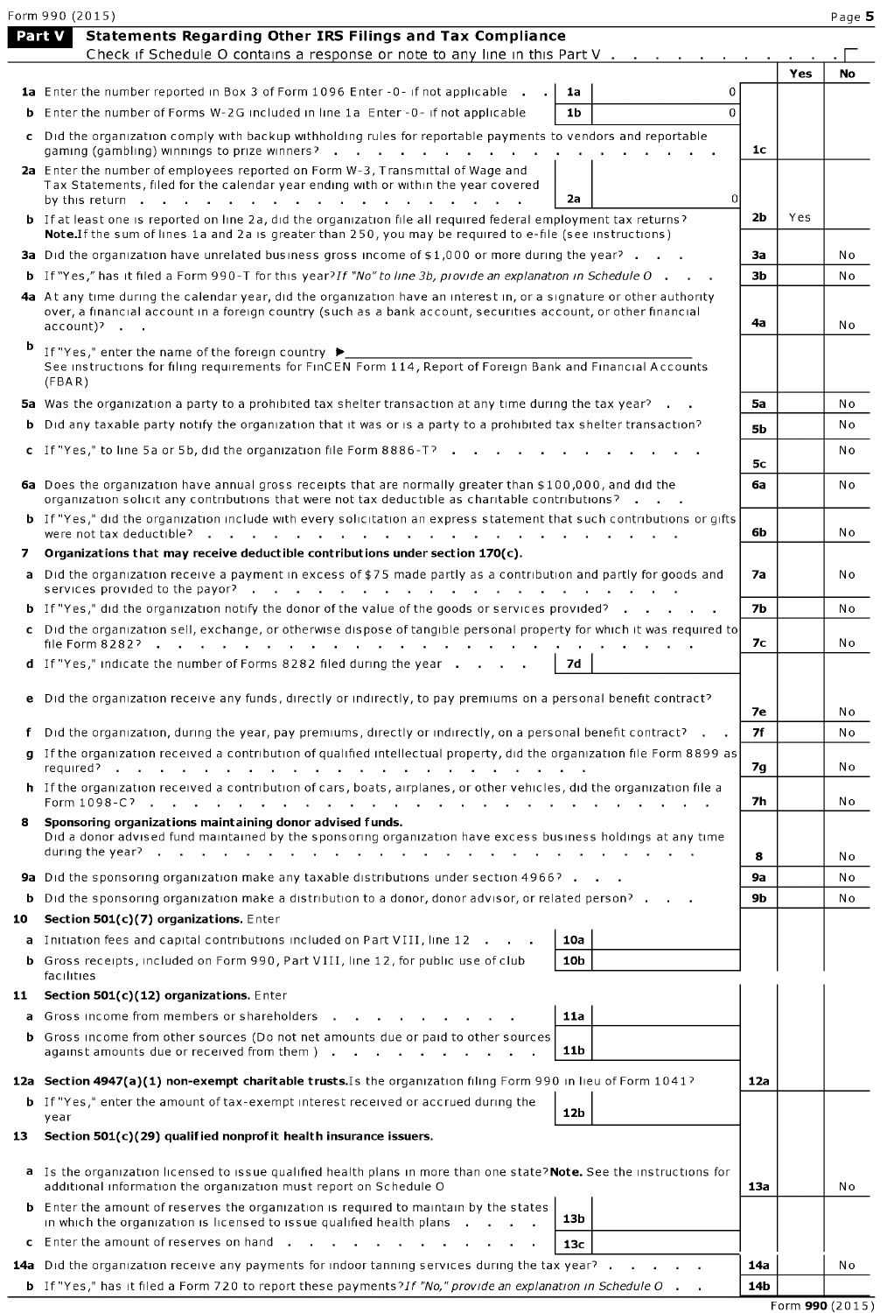|    | Form 990 (2015)                                                                                                                                                                                                                                                 |                |     | Page 5    |
|----|-----------------------------------------------------------------------------------------------------------------------------------------------------------------------------------------------------------------------------------------------------------------|----------------|-----|-----------|
|    | Statements Regarding Other IRS Filings and Tax Compliance<br>Part V                                                                                                                                                                                             |                |     |           |
|    | Check if Schedule O contains a response or note to any line in this Part V                                                                                                                                                                                      |                | Yes | <b>No</b> |
|    | 1a Enter the number reported in Box 3 of Form 1096 Enter -0- if not applicable .<br>0<br>1a                                                                                                                                                                     |                |     |           |
|    | <b>b</b> Enter the number of Forms W-2G included in line 1a Enter -0- if not applicable<br>$\mathbf 0$<br>1b                                                                                                                                                    |                |     |           |
|    | c Did the organization comply with backup withholding rules for reportable payments to vendors and reportable<br>gaming (gambling) winnings to prize winners?                                                                                                   | 1c             |     |           |
|    | 2a Enter the number of employees reported on Form W-3, Transmittal of Wage and<br>Tax Statements, filed for the calendar year ending with or within the year covered                                                                                            |                |     |           |
|    | $\Omega$<br>2a                                                                                                                                                                                                                                                  |                |     |           |
|    | <b>b</b> If at least one is reported on line 2a, did the organization file all required federal employment tax returns?<br>Note. If the sum of lines 1a and 2a is greater than 250, you may be required to e-file (see instructions)                            | 2b             | Yes |           |
|    | <b>3a</b> Did the organization have unrelated business gross income of \$1,000 or more during the year? $\blacksquare$ .                                                                                                                                        | За             |     | No        |
|    | <b>b</b> If "Yes," has it filed a Form 990-T for this year? If "No" to line 3b, provide an explanation in Schedule O $\cdot$ $\cdot$                                                                                                                            | 3 <sub>b</sub> |     | No        |
|    | 4a At any time during the calendar year, did the organization have an interest in, or a signature or other authority<br>over, a financial account in a foreign country (such as a bank account, securities account, or other financial<br>$account$ ) $\cdot$ . | 4а             |     | N o       |
| b  | If "Yes," enter the name of the foreign country $\blacktriangleright$<br>See instructions for filing requirements for FinCEN Form 114, Report of Foreign Bank and Financial Accounts<br>(FBA R)                                                                 |                |     |           |
|    | 5a Was the organization a party to a prohibited tax shelter transaction at any time during the tax year?                                                                                                                                                        | 5a             |     | No        |
|    | <b>b</b> Did any taxable party notify the organization that it was or is a party to a prohibited tax shelter transaction?                                                                                                                                       | <b>5b</b>      |     | No        |
|    | c If "Yes," to line 5a or 5b, did the organization file Form $8886 - 7$                                                                                                                                                                                         |                |     | No        |
|    |                                                                                                                                                                                                                                                                 | 5c             |     |           |
|    | 6a Does the organization have annual gross receipts that are normally greater than \$100,000, and did the<br>organization solicit any contributions that were not tax deductible as charitable contributions?                                                   | 6a             |     | Νo        |
|    | <b>b</b> If "Yes," did the organization include with every solicitation an express statement that such contributions or gifts                                                                                                                                   | 6b             |     | N o       |
| 7  | Organizations that may receive deductible contributions under section 170(c).                                                                                                                                                                                   |                |     |           |
|    | a Did the organization receive a payment in excess of \$75 made partly as a contribution and partly for goods and<br>services provided to the payor? $\cdots$ , $\cdots$ , $\cdots$ , $\cdots$ , $\cdots$ , $\cdots$ , $\cdots$ , $\cdots$                      | 7a             |     | Νo        |
|    | <b>b</b> If "Yes," did the organization notify the donor of the value of the goods or services provided?                                                                                                                                                        | 7 <sub>b</sub> |     | No        |
|    | c Did the organization sell, exchange, or otherwise dispose of tangible personal property for which it was required to                                                                                                                                          | 7с             |     | No        |
|    | <b>d</b> If "Yes," indicate the number of Forms 8282 filed during the year $\cdot \cdot \cdot$<br>7d                                                                                                                                                            |                |     |           |
|    | e Did the organization receive any funds, directly or indirectly, to pay premiums on a personal benefit contract?                                                                                                                                               | 7e             |     | Νo        |
|    | f Did the organization, during the year, pay premiums, directly or indirectly, on a personal benefit contract? $\blacksquare$ .                                                                                                                                 | 7f             |     | No        |
|    | g If the organization received a contribution of qualified intellectual property, did the organization file Form 8899 as<br>required?<br>$\sim$<br>$\sim$                                                                                                       | 7g             |     | No        |
|    | h If the organization received a contribution of cars, boats, airplanes, or other vehicles, did the organization file a<br>Form 1098-C?<br>and a series of the contract of the contract of the contract of the contract of the contract of the contract of      | 7h             |     | Νo        |
| 8  | Sponsoring organizations maintaining donor advised funds.<br>Did a donor advised fund maintained by the sponsoring organization have excess business holdings at any time<br>during the year?                                                                   |                |     |           |
|    |                                                                                                                                                                                                                                                                 | 8              |     | No        |
|    | <b>9a</b> Did the sponsoring organization make any taxable distributions under section 4966?<br>Did the sponsoring organization make a distribution to a donor, donor advisor, or related person?                                                               | 9a<br>9b       |     | No        |
| b  |                                                                                                                                                                                                                                                                 |                |     | No        |
| 10 | Section 501(c)(7) organizations. Enter<br><b>a</b> Initiation fees and capital contributions included on Part VIII, line 12<br>10a                                                                                                                              |                |     |           |
| b. | Gross receipts, included on Form 990, Part VIII, line 12, for public use of club<br>10 <sub>b</sub><br>facilities                                                                                                                                               |                |     |           |
| 11 | Section 501(c)(12) organizations. Enter                                                                                                                                                                                                                         |                |     |           |
| a  | Gross income from members or shareholders<br>11a                                                                                                                                                                                                                |                |     |           |
| b. | Gross income from other sources (Do not net amounts due or paid to other sources<br>11 <sub>b</sub><br>against amounts due or received from them ).<br><b>Contract Contract</b>                                                                                 |                |     |           |
|    |                                                                                                                                                                                                                                                                 |                |     |           |
|    | 12a Section 4947(a)(1) non-exempt charitable trusts. Is the organization filing Form 990 in lieu of Form 1041?<br><b>b</b> If "Yes," enter the amount of tax-exempt interest received or accrued during the<br>12 <sub>b</sub>                                  | 12a            |     |           |
| 13 | year<br>Section $501(c)(29)$ qualified nonprofit health insurance issuers.                                                                                                                                                                                      |                |     |           |
|    | a Is the organization licensed to issue qualified health plans in more than one state? Note. See the instructions for<br>additional information the organization must report on Schedule O                                                                      | 13a            |     | No        |
|    | <b>b</b> Enter the amount of reserves the organization is required to maintain by the states<br>13 <sub>b</sub><br>in which the organization is licensed to issue qualified health plans $\blacksquare$ .                                                       |                |     |           |
|    | c Enter the amount of reserves on hand<br>13с                                                                                                                                                                                                                   |                |     |           |
|    | <b>14a</b> Did the organization receive any payments for indoor tanning services during the tax year?                                                                                                                                                           | 14a            |     | Νo        |
|    | <b>b</b> If "Yes," has it filed a Form 720 to report these payments?If "No," provide an explanation in Schedule O .                                                                                                                                             | 14b            |     |           |
|    |                                                                                                                                                                                                                                                                 |                |     |           |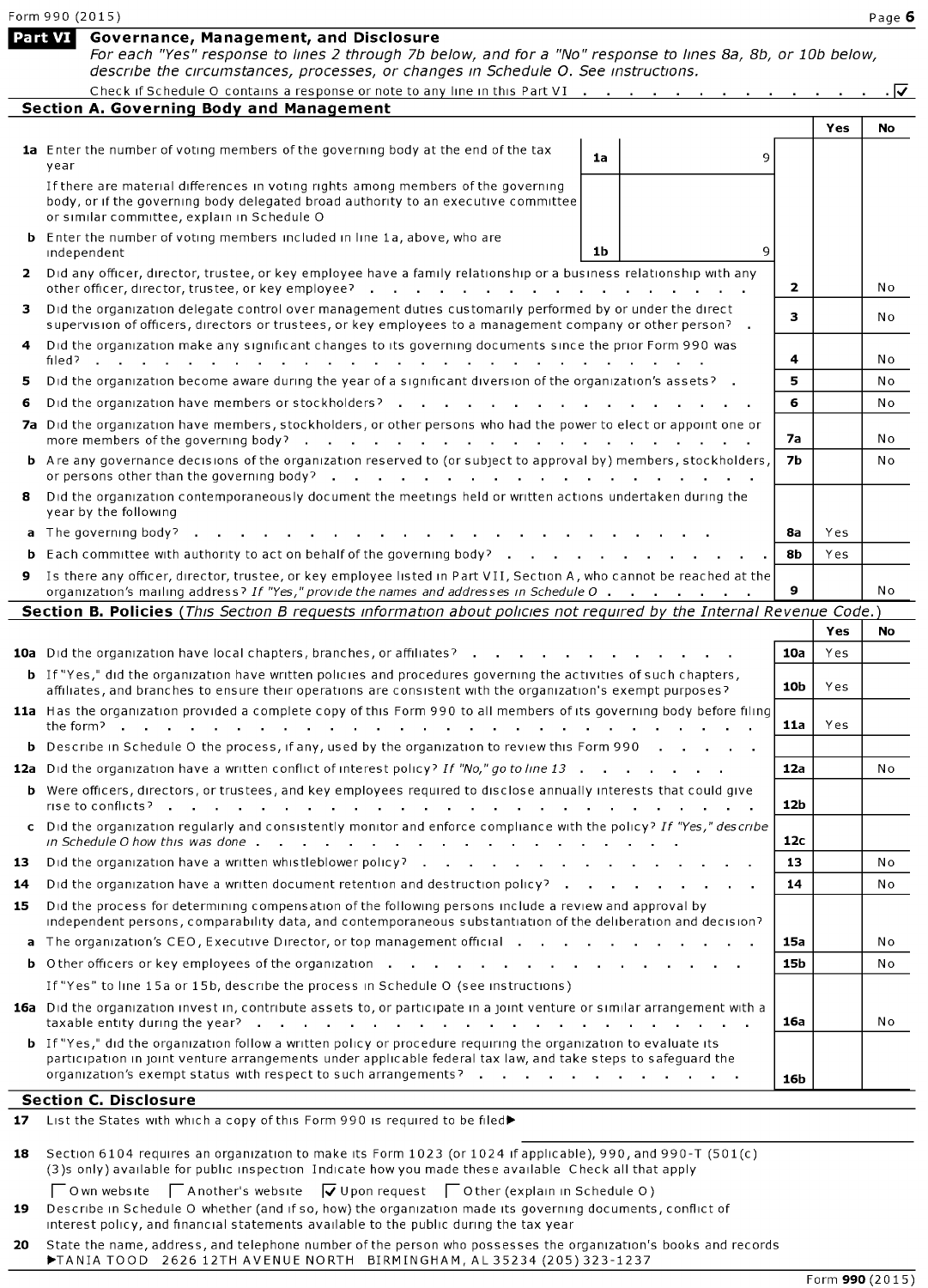|    | Form 990 (2015)                                                                                                                                                                                                                                        |                 |      | Page 6 |
|----|--------------------------------------------------------------------------------------------------------------------------------------------------------------------------------------------------------------------------------------------------------|-----------------|------|--------|
|    | Part VI<br>Governance, Management, and Disclosure<br>For each "Yes" response to lines 2 through 7b below, and for a "No" response to lines 8a, 8b, or 10b below,<br>describe the circumstances, processes, or changes in Schedule O. See instructions. |                 |      |        |
|    | Check if Schedule O contains a response or note to any line in this Part VI                                                                                                                                                                            |                 |      | . । ⊽  |
|    | <b>Section A. Governing Body and Management</b>                                                                                                                                                                                                        |                 |      |        |
|    |                                                                                                                                                                                                                                                        |                 | Yes  | No     |
|    | 1a Enter the number of voting members of the governing body at the end of the tax<br>9<br>1a<br>year                                                                                                                                                   |                 |      |        |
|    | If there are material differences in voting rights among members of the governing<br>body, or if the governing body delegated broad authority to an executive committee<br>or similar committee, explain in Schedule O                                 |                 |      |        |
|    | <b>b</b> Enter the number of voting members included in line 1a, above, who are<br>1 <sub>b</sub><br>9<br>independent                                                                                                                                  |                 |      |        |
|    | 2 Did any officer, director, trustee, or key employee have a family relationship or a business relationship with any<br>other officer, director, trustee, or key employee?                                                                             | 2               |      | No     |
| з  | Did the organization delegate control over management duties customarily performed by or under the direct<br>supervision of officers, directors or trustees, or key employees to a management company or other person?                                 | 3               |      | No     |
|    | Did the organization make any significant changes to its governing documents since the prior Form 990 was<br>filed? $\cdots$ $\cdots$                                                                                                                  | 4               |      | No     |
| 5  | Did the organization become aware during the year of a significant diversion of the organization's assets?                                                                                                                                             | 5               |      | No     |
| 6  | Did the organization have members or stockholders?                                                                                                                                                                                                     | 6               |      | No     |
|    | 7a Did the organization have members, stockholders, or other persons who had the power to elect or appoint one or                                                                                                                                      | 7а              |      | Νo     |
|    | <b>b</b> Are any governance decisions of the organization reserved to (or subject to approval by) members, stockholders,<br>or persons other than the governing body? $\cdot \cdot \cdot \cdot \cdot \cdot \cdot \cdot \cdot$                          | <b>7b</b>       |      | No     |
| 8  | Did the organization contemporaneously document the meetings held or written actions undertaken during the<br>year by the following                                                                                                                    |                 |      |        |
|    | <b>a</b> The governing body?                                                                                                                                                                                                                           | 8а              | Yes  |        |
|    | Each committee with authority to act on behalf of the governing body?                                                                                                                                                                                  | 8b              | Yes. |        |
|    | Is there any officer, director, trustee, or key employee listed in Part VII, Section A, who cannot be reached at the<br>organization's mailing address? If "Yes," provide the names and addresses in Schedule O                                        | 9               |      | No     |
|    | Section B. Policies (This Section B requests information about policies not required by the Internal Revenue Code.)                                                                                                                                    |                 |      |        |
|    |                                                                                                                                                                                                                                                        |                 | Yes  | No     |
|    | <b>10a</b> Did the organization have local chapters, branches, or affiliates?                                                                                                                                                                          | 10a             | Yes  |        |
|    | <b>b</b> If "Yes," did the organization have written policies and procedures governing the activities of such chapters,<br>affiliates, and branches to ensure their operations are consistent with the organization's exempt purposes?                 | 10b             | Yes  |        |
|    | 11a Has the organization provided a complete copy of this Form 990 to all members of its governing body before filing<br>the form?                                                                                                                     | 11a             | Yes  |        |
|    | <b>b</b> Describe in Schedule O the process, if any, used by the organization to review this Form 990                                                                                                                                                  |                 |      |        |
|    | <b>12a</b> Did the organization have a written conflict of interest policy? If "No," go to line 13                                                                                                                                                     | 12a             |      | No     |
|    | <b>b</b> Were officers, directors, or trustees, and key employees required to disclose annually interests that could give                                                                                                                              | 12 <sub>b</sub> |      |        |
|    | c Did the organization regularly and consistently monitor and enforce compliance with the policy? If "Yes," describe                                                                                                                                   | 12c             |      |        |
| 13 |                                                                                                                                                                                                                                                        | 13              |      | N o    |
| 14 | Did the organization have a written document retention and destruction policy?                                                                                                                                                                         | 14              |      | No     |
| 15 | Did the process for determining compensation of the following persons include a review and approval by<br>independent persons, comparability data, and contemporaneous substantiation of the deliberation and decision?                                |                 |      |        |
|    | a The organization's CEO, Executive Director, or top management official                                                                                                                                                                               | 15a             |      | No     |
|    |                                                                                                                                                                                                                                                        | 15 <sub>b</sub> |      | No     |
|    | If "Yes" to line 15a or 15b, describe the process in Schedule O (see instructions)                                                                                                                                                                     |                 |      |        |
|    | 16a Did the organization invest in, contribute assets to, or participate in a joint venture or similar arrangement with a                                                                                                                              | 16a             |      | No     |
|    | <b>b</b> If "Yes," did the organization follow a written policy or procedure requiring the organization to evaluate its<br>participation in joint venture arrangements under applicable federal tax law, and take steps to safeguard the               |                 |      |        |
|    | organization's exempt status with respect to such arrangements?                                                                                                                                                                                        | 16b             |      |        |
|    | <b>Section C. Disclosure</b>                                                                                                                                                                                                                           |                 |      |        |
| 17 | List the States with which a copy of this Form 990 is required to be filed▶                                                                                                                                                                            |                 |      |        |
| 18 | Section 6104 requires an organization to make its Form 1023 (or 1024 if applicable), 990, and 990-T (501(c)                                                                                                                                            |                 |      |        |

| (3)s only) available for public inspection Indicate how you made these available Check all that apply |  |
|-------------------------------------------------------------------------------------------------------|--|
|-------------------------------------------------------------------------------------------------------|--|

 $\Box$  Own website  $\Box$  Another's website  $\Box$  Upon request  $\Box$  Other (explain in Schedule 0) 19 Describe in Schedule 0 whether (and if so, how) the organization made its governing documents, conflict of interest policy, and financial statements available to the public during the tax year

20 State the name, address, and telephone number of the person who possesses the organization's books and records TOOD 2626 12TH AVENUE NORTH BIRMINGHAM, AL 35234 (205) 323-1237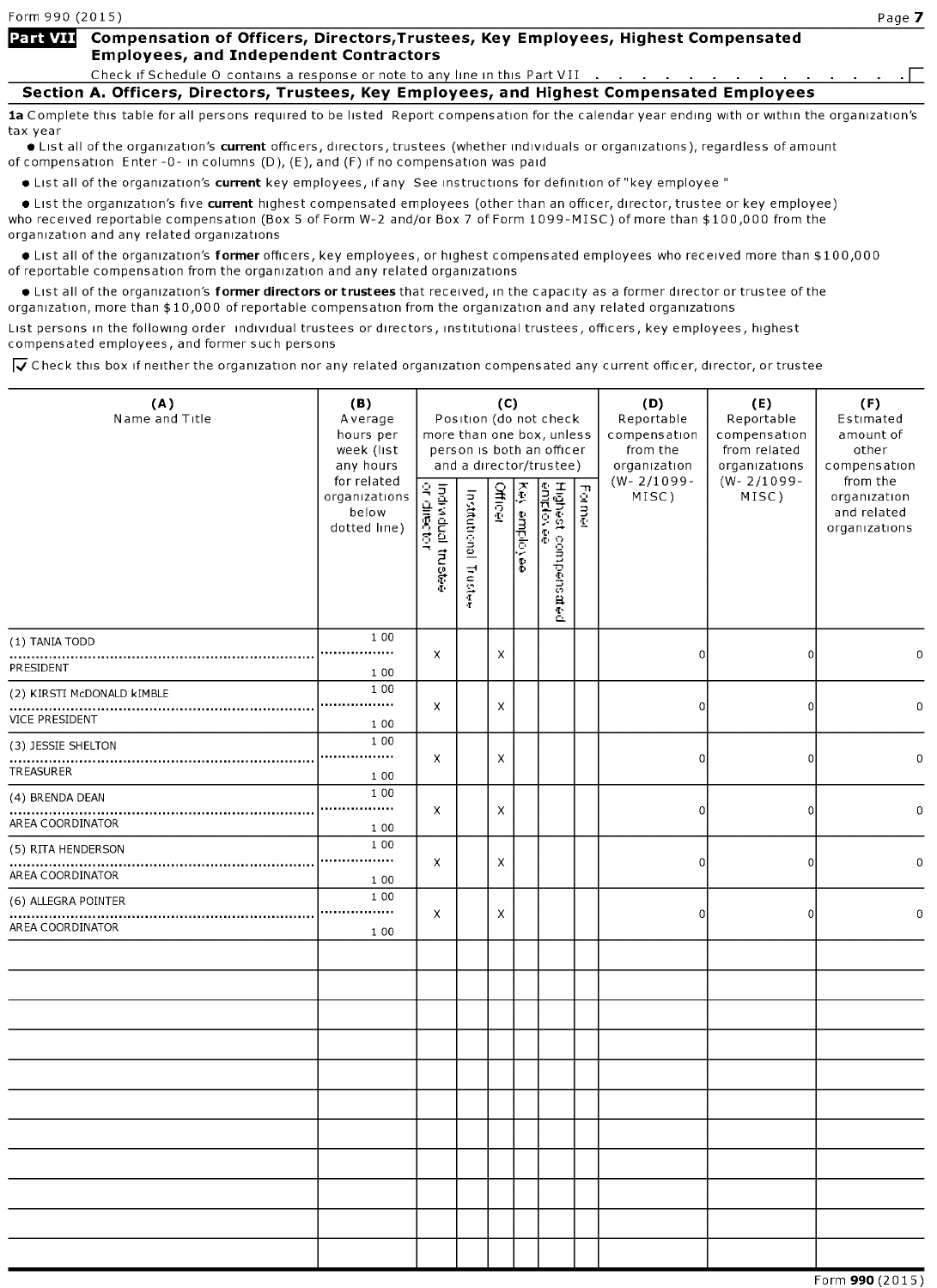## Part VII Compensation of Officers, Directors, Trustees, Key Employees, Highest Compensated **Employees, and Independent Contractors**

Check if Schedule O contains a response or note to any line in this Part VII

Section A. Officers, Directors, Trustees, Key Employees, and Highest Compensated Employees

1a Complete this table for all persons required to be listed Report compensation for the calendar year ending with or within the organization's tax year

**•** List all of the organization's current officers, directors, trustees (whether individuals or organizations), regardless of amount of compensation Enter -0- in columns  $(D)$ ,  $(E)$ , and  $(F)$  if no compensation was paid

• List all of the organization's current key employees, if any See instructions for definition of "key employee"

• List the organization's five current highest compensated employees (other than an officer, director, trustee or key employee) who received reportable compensation (Box <sup>5</sup> of Form W-2 and/or Box <sup>7</sup> of Form 1099-MISC) of more than \$ 100,000 from the organization and any related organizations

• List all of the organization's former officers, key employees, or highest compensated employees who received more than \$100,000 of reportable compensation from the organization and any related organizations

Itst all of the organization's former directors or trustees that received, in the capacity as a former director or trustee of the organization, more than \$10,000 of reportable compensation from the organization and any related organizations

List persons in the following order individual trustees or directors, institutional trustees, officers, key employees, highest compensated employees, and former such persons

 $\overline{\blacktriangleleft}$  Check this box if neither the organization nor any related organization compensated any current officer, director, or trustee

| $(W - 2/1099 -$<br>$(W - 2/1099 -$<br>for related<br>from the<br>Key employee<br>Highest compensated<br>eniplovee<br>Individual trustee<br>or director<br><b>Officer</b><br>Former<br>Institutional Trustee<br>organizations<br>MISC)<br>MISC)<br>organization<br>below<br>and related<br>dotted line)<br>organizations<br>1 0 0<br>(1) TANIA TODD<br><br>$\mathsf{x}$<br>X<br>$\mathbf 0$<br>0<br>$\mathbf 0$<br>PRESIDENT<br>1 0 0<br>1 0 0<br>(2) KIRSTI McDONALD KIMBLE<br>.<br>X<br>X<br>0<br>0<br>$\mathbf 0$<br>VICE PRESIDENT<br>1 0 0<br>1 0 0<br>(3) JESSIE SHELTON<br>.<br>x<br>X<br>0<br>0<br>$\Omega$<br>TREASURER<br>1 0 0<br>1 0 0<br>(4) BRENDA DEAN<br>.<br>X<br>X<br>0<br>0<br>$\mathbf 0$<br>AREA COORDINATOR<br>1 0 0<br>1 0 0<br>(5) RITA HENDERSON<br>.<br>X<br>X<br>$\mathbf 0$<br>0<br>0<br>AREA COORDINATOR<br>1 0 0<br>1 0 0<br>(6) ALLEGRA POINTER<br>.<br>X<br>X<br>$\mathbf 0$<br>0<br>$\mathbf 0$<br>AREA COORDINATOR<br>1 0 0 | (A)<br>Name and Title | (B)<br>Average<br>hours per<br>week (list<br>any hours |  | (C) | Position (do not check<br>more than one box, unless<br>person is both an officer<br>and a director/trustee) | (D)<br>Reportable<br>compensation<br>from the<br>organization | (E)<br>Reportable<br>compensation<br>from related<br>organizations | (F)<br>Estimated<br>amount of<br>other<br>compensation |  |
|--------------------------------------------------------------------------------------------------------------------------------------------------------------------------------------------------------------------------------------------------------------------------------------------------------------------------------------------------------------------------------------------------------------------------------------------------------------------------------------------------------------------------------------------------------------------------------------------------------------------------------------------------------------------------------------------------------------------------------------------------------------------------------------------------------------------------------------------------------------------------------------------------------------------------------------------------------------|-----------------------|--------------------------------------------------------|--|-----|-------------------------------------------------------------------------------------------------------------|---------------------------------------------------------------|--------------------------------------------------------------------|--------------------------------------------------------|--|
|                                                                                                                                                                                                                                                                                                                                                                                                                                                                                                                                                                                                                                                                                                                                                                                                                                                                                                                                                              |                       |                                                        |  |     |                                                                                                             |                                                               |                                                                    |                                                        |  |
|                                                                                                                                                                                                                                                                                                                                                                                                                                                                                                                                                                                                                                                                                                                                                                                                                                                                                                                                                              |                       |                                                        |  |     |                                                                                                             |                                                               |                                                                    |                                                        |  |
|                                                                                                                                                                                                                                                                                                                                                                                                                                                                                                                                                                                                                                                                                                                                                                                                                                                                                                                                                              |                       |                                                        |  |     |                                                                                                             |                                                               |                                                                    |                                                        |  |
|                                                                                                                                                                                                                                                                                                                                                                                                                                                                                                                                                                                                                                                                                                                                                                                                                                                                                                                                                              |                       |                                                        |  |     |                                                                                                             |                                                               |                                                                    |                                                        |  |
|                                                                                                                                                                                                                                                                                                                                                                                                                                                                                                                                                                                                                                                                                                                                                                                                                                                                                                                                                              |                       |                                                        |  |     |                                                                                                             |                                                               |                                                                    |                                                        |  |
|                                                                                                                                                                                                                                                                                                                                                                                                                                                                                                                                                                                                                                                                                                                                                                                                                                                                                                                                                              |                       |                                                        |  |     |                                                                                                             |                                                               |                                                                    |                                                        |  |
|                                                                                                                                                                                                                                                                                                                                                                                                                                                                                                                                                                                                                                                                                                                                                                                                                                                                                                                                                              |                       |                                                        |  |     |                                                                                                             |                                                               |                                                                    |                                                        |  |
|                                                                                                                                                                                                                                                                                                                                                                                                                                                                                                                                                                                                                                                                                                                                                                                                                                                                                                                                                              |                       |                                                        |  |     |                                                                                                             |                                                               |                                                                    |                                                        |  |
|                                                                                                                                                                                                                                                                                                                                                                                                                                                                                                                                                                                                                                                                                                                                                                                                                                                                                                                                                              |                       |                                                        |  |     |                                                                                                             |                                                               |                                                                    |                                                        |  |
|                                                                                                                                                                                                                                                                                                                                                                                                                                                                                                                                                                                                                                                                                                                                                                                                                                                                                                                                                              |                       |                                                        |  |     |                                                                                                             |                                                               |                                                                    |                                                        |  |
|                                                                                                                                                                                                                                                                                                                                                                                                                                                                                                                                                                                                                                                                                                                                                                                                                                                                                                                                                              |                       |                                                        |  |     |                                                                                                             |                                                               |                                                                    |                                                        |  |
|                                                                                                                                                                                                                                                                                                                                                                                                                                                                                                                                                                                                                                                                                                                                                                                                                                                                                                                                                              |                       |                                                        |  |     |                                                                                                             |                                                               |                                                                    |                                                        |  |
|                                                                                                                                                                                                                                                                                                                                                                                                                                                                                                                                                                                                                                                                                                                                                                                                                                                                                                                                                              |                       |                                                        |  |     |                                                                                                             |                                                               |                                                                    |                                                        |  |
|                                                                                                                                                                                                                                                                                                                                                                                                                                                                                                                                                                                                                                                                                                                                                                                                                                                                                                                                                              |                       |                                                        |  |     |                                                                                                             |                                                               |                                                                    |                                                        |  |
|                                                                                                                                                                                                                                                                                                                                                                                                                                                                                                                                                                                                                                                                                                                                                                                                                                                                                                                                                              |                       |                                                        |  |     |                                                                                                             |                                                               |                                                                    |                                                        |  |
|                                                                                                                                                                                                                                                                                                                                                                                                                                                                                                                                                                                                                                                                                                                                                                                                                                                                                                                                                              |                       |                                                        |  |     |                                                                                                             |                                                               |                                                                    |                                                        |  |
|                                                                                                                                                                                                                                                                                                                                                                                                                                                                                                                                                                                                                                                                                                                                                                                                                                                                                                                                                              |                       |                                                        |  |     |                                                                                                             |                                                               |                                                                    |                                                        |  |
|                                                                                                                                                                                                                                                                                                                                                                                                                                                                                                                                                                                                                                                                                                                                                                                                                                                                                                                                                              |                       |                                                        |  |     |                                                                                                             |                                                               |                                                                    |                                                        |  |
|                                                                                                                                                                                                                                                                                                                                                                                                                                                                                                                                                                                                                                                                                                                                                                                                                                                                                                                                                              |                       |                                                        |  |     |                                                                                                             |                                                               |                                                                    |                                                        |  |
|                                                                                                                                                                                                                                                                                                                                                                                                                                                                                                                                                                                                                                                                                                                                                                                                                                                                                                                                                              |                       |                                                        |  |     |                                                                                                             |                                                               |                                                                    |                                                        |  |
|                                                                                                                                                                                                                                                                                                                                                                                                                                                                                                                                                                                                                                                                                                                                                                                                                                                                                                                                                              |                       |                                                        |  |     |                                                                                                             |                                                               |                                                                    |                                                        |  |
|                                                                                                                                                                                                                                                                                                                                                                                                                                                                                                                                                                                                                                                                                                                                                                                                                                                                                                                                                              |                       |                                                        |  |     |                                                                                                             |                                                               |                                                                    |                                                        |  |
|                                                                                                                                                                                                                                                                                                                                                                                                                                                                                                                                                                                                                                                                                                                                                                                                                                                                                                                                                              |                       |                                                        |  |     |                                                                                                             |                                                               |                                                                    |                                                        |  |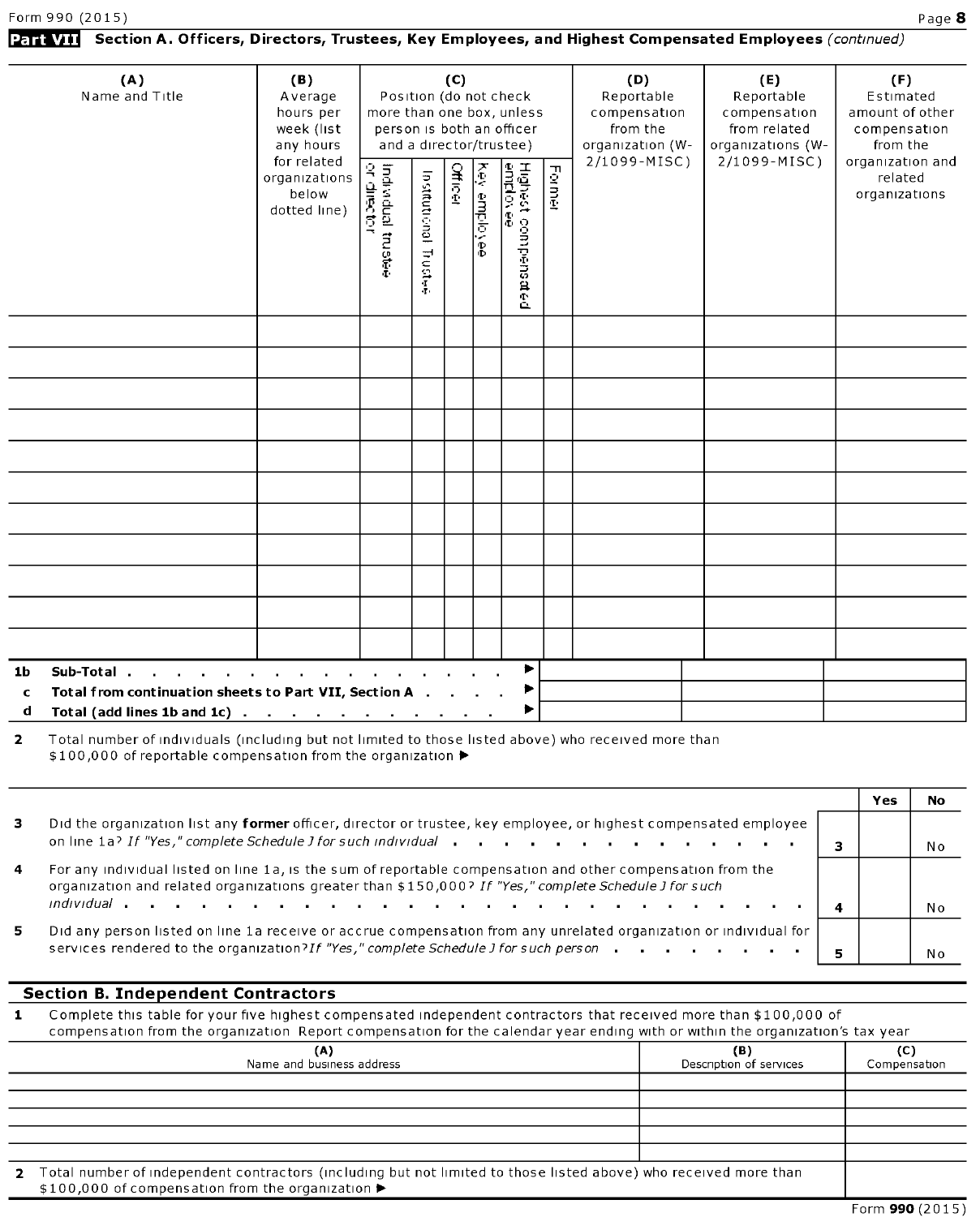## Part VII Section A. Officers, Directors, Trustees, Key Employees, and Highest Compensated Employees (continued)

|                         | (A)<br>Name and Title                                                                                                                                                | (B)<br>Average<br>hours per<br>week (list<br>any hours |                                 |                       |         |                     |                                 | more than one box, unless | (D)<br>Reportable<br>compensation<br>from the<br>organization (W- | (E)<br>Reportable<br>compensation<br>from related<br>organizations (W- | (F)<br>Estimated<br>amount of other<br>compensation<br>from the |
|-------------------------|----------------------------------------------------------------------------------------------------------------------------------------------------------------------|--------------------------------------------------------|---------------------------------|-----------------------|---------|---------------------|---------------------------------|---------------------------|-------------------------------------------------------------------|------------------------------------------------------------------------|-----------------------------------------------------------------|
|                         |                                                                                                                                                                      | for related<br>organizations<br>below<br>dotted line)  | indigently<br>Friend propintion | Institutional Trustee | Officer | <b>Aey employee</b> | Highest compensated<br>employee | Former                    | 2/1099-MISC)                                                      | 2/1099-MISC)                                                           | organization and<br>related<br>organizations                    |
|                         |                                                                                                                                                                      |                                                        |                                 |                       |         |                     |                                 |                           |                                                                   |                                                                        |                                                                 |
|                         |                                                                                                                                                                      |                                                        |                                 |                       |         |                     |                                 |                           |                                                                   |                                                                        |                                                                 |
|                         |                                                                                                                                                                      |                                                        |                                 |                       |         |                     |                                 |                           |                                                                   |                                                                        |                                                                 |
|                         |                                                                                                                                                                      |                                                        |                                 |                       |         |                     |                                 |                           |                                                                   |                                                                        |                                                                 |
|                         |                                                                                                                                                                      |                                                        |                                 |                       |         |                     |                                 |                           |                                                                   |                                                                        |                                                                 |
|                         |                                                                                                                                                                      |                                                        |                                 |                       |         |                     |                                 |                           |                                                                   |                                                                        |                                                                 |
|                         |                                                                                                                                                                      |                                                        |                                 |                       |         |                     |                                 |                           |                                                                   |                                                                        |                                                                 |
|                         |                                                                                                                                                                      |                                                        |                                 |                       |         |                     |                                 |                           |                                                                   |                                                                        |                                                                 |
|                         |                                                                                                                                                                      |                                                        |                                 |                       |         |                     |                                 |                           |                                                                   |                                                                        |                                                                 |
|                         |                                                                                                                                                                      |                                                        |                                 |                       |         |                     |                                 |                           |                                                                   |                                                                        |                                                                 |
|                         |                                                                                                                                                                      |                                                        |                                 |                       |         |                     |                                 |                           |                                                                   |                                                                        |                                                                 |
| 1 <sub>b</sub>          | Sub-Total.<br>the contract of the contract of the contract of                                                                                                        |                                                        |                                 |                       |         |                     | ▶                               |                           |                                                                   |                                                                        |                                                                 |
| $\mathbf c$<br>d        | Total from continuation sheets to Part VII, Section A .<br>Total (add lines 1b and 1c).                                                                              | the company of the company of the company              |                                 |                       |         |                     | ▶                               |                           |                                                                   |                                                                        |                                                                 |
| $\overline{\mathbf{z}}$ | Total number of individuals (including but not limited to those listed above) who received more than<br>\$100,000 of reportable compensation from the organization ▶ |                                                        |                                 |                       |         |                     |                                 |                           |                                                                   |                                                                        |                                                                 |

|                      |                                                                                                                                                                                                                                       | Yes | No |
|----------------------|---------------------------------------------------------------------------------------------------------------------------------------------------------------------------------------------------------------------------------------|-----|----|
| з.                   | Did the organization list any former officer, director or trustee, key employee, or highest compensated employee                                                                                                                      |     |    |
|                      | on line 1a? If "Yes," complete Schedule J for such individual                                                                                                                                                                         |     | No |
| $\blacktriangleleft$ | For any individual listed on line 1a, is the sum of reportable compensation and other compensation from the<br>organization and related organizations greater than \$150,000? If "Yes," complete Schedule J for such                  |     |    |
|                      | $\blacksquare$ individual to the contract of the contract of the contract of the contract of the contract of the contract of the contract of the contract of the contract of the contract of the contract of the contract of the cont |     | Nο |
| 5.                   | Did any person listed on line 1a receive or accrue compensation from any unrelated organization or individual for                                                                                                                     |     |    |
|                      | services rendered to the organization? If "Yes," complete Schedule J for such person                                                                                                                                                  |     | No |

## Section B. Independent Contractors

1 Complete this table for your five highest compensated independent contractors that received more than \$100,000 of compensation from the organization Report compensation for the calendar year ending with or within the organization's tax year

| (A)<br>Name and business address                                                                                                                                        | (B)<br>Description of services | (C)<br>Compensation |
|-------------------------------------------------------------------------------------------------------------------------------------------------------------------------|--------------------------------|---------------------|
|                                                                                                                                                                         |                                |                     |
|                                                                                                                                                                         |                                |                     |
|                                                                                                                                                                         |                                |                     |
|                                                                                                                                                                         |                                |                     |
|                                                                                                                                                                         |                                |                     |
| 2 Total number of independent contractors (including but not limited to those listed above) who received more than<br>\$100,000 of compensation from the organization ▶ |                                |                     |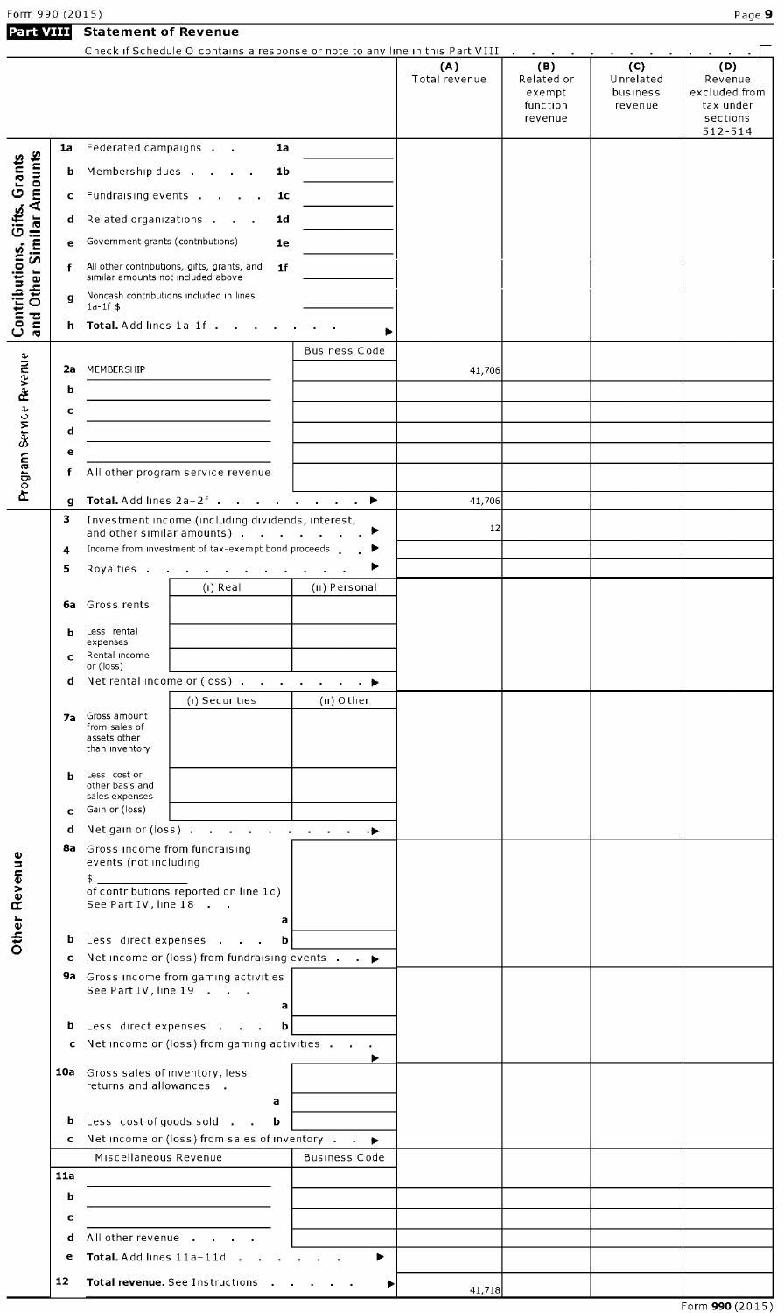Statement of Revenue

|                                                           |     |                                                                       | Check if Schedule O contains a response or note to any line in this Part VIII    |                      |                      | the company of the company              |                                         |                                              |
|-----------------------------------------------------------|-----|-----------------------------------------------------------------------|----------------------------------------------------------------------------------|----------------------|----------------------|-----------------------------------------|-----------------------------------------|----------------------------------------------|
|                                                           |     |                                                                       |                                                                                  |                      | (A)<br>Total revenue | (B)<br>Related or<br>exempt<br>function | (C)<br>Unrelated<br>business<br>revenue | (D)<br>Revenue<br>excluded from<br>tax under |
|                                                           |     |                                                                       |                                                                                  |                      |                      | revenue                                 |                                         | sections<br>$512 - 514$                      |
|                                                           | 1a  | Federated campaigns                                                   | 1a                                                                               |                      |                      |                                         |                                         |                                              |
|                                                           | b   | Membership dues                                                       | 1b                                                                               |                      |                      |                                         |                                         |                                              |
|                                                           | c   | Fundraising events                                                    | 1c                                                                               |                      |                      |                                         |                                         |                                              |
|                                                           | d   |                                                                       | Related organizations<br>1d                                                      |                      |                      |                                         |                                         |                                              |
|                                                           | е   | Government grants (contributions)                                     | 1e                                                                               |                      |                      |                                         |                                         |                                              |
|                                                           | f   |                                                                       | All other contributions, gifts, grants, and<br>1 <sub>f</sub>                    |                      |                      |                                         |                                         |                                              |
|                                                           |     | similar amounts not included above                                    |                                                                                  |                      |                      |                                         |                                         |                                              |
|                                                           | g   | $1a-1f$ \$                                                            | Noncash contributions included in lines                                          |                      |                      |                                         |                                         |                                              |
| and Other Similar Amounts<br>Contributions, Gifts, Grants | h.  | Total. Add lines 1a-1f.                                               |                                                                                  |                      |                      |                                         |                                         |                                              |
|                                                           |     |                                                                       |                                                                                  | Business Code        |                      |                                         |                                         |                                              |
|                                                           | 2a  | MEMBERSHIP                                                            |                                                                                  |                      | 41,706               |                                         |                                         |                                              |
|                                                           | b   |                                                                       |                                                                                  |                      |                      |                                         |                                         |                                              |
|                                                           | c   |                                                                       |                                                                                  |                      |                      |                                         |                                         |                                              |
|                                                           | d   |                                                                       |                                                                                  |                      |                      |                                         |                                         |                                              |
|                                                           | e   |                                                                       |                                                                                  |                      |                      |                                         |                                         |                                              |
| Program Service Revenue                                   | f   |                                                                       | All other program service revenue                                                |                      |                      |                                         |                                         |                                              |
|                                                           | g   |                                                                       | Total. Add lines 2a-2f ▶                                                         |                      | 41,706               |                                         |                                         |                                              |
|                                                           | з   |                                                                       | Investment income (including dividends, interest,                                |                      | 12                   |                                         |                                         |                                              |
|                                                           | 4   |                                                                       | and other similar amounts)<br>Income from investment of tax-exempt bond proceeds | ▸                    |                      |                                         |                                         |                                              |
|                                                           | 5   | Royalties .                                                           | the contract of the contract of<br>$\sim$                                        | $\sim$ 100 $\pm$     |                      |                                         |                                         |                                              |
|                                                           |     |                                                                       | $(I)$ Real                                                                       | (II) Personal        |                      |                                         |                                         |                                              |
|                                                           | 6а  | Gross rents                                                           |                                                                                  |                      |                      |                                         |                                         |                                              |
|                                                           | b   | Less rental<br>expenses                                               |                                                                                  |                      |                      |                                         |                                         |                                              |
|                                                           | c   | Rental income                                                         |                                                                                  |                      |                      |                                         |                                         |                                              |
|                                                           | d   | or (loss)                                                             | Net rental income or (loss) ▶                                                    |                      |                      |                                         |                                         |                                              |
|                                                           |     |                                                                       | (i) Securities                                                                   | (II) Other           |                      |                                         |                                         |                                              |
|                                                           | 7а  | Gross amount<br>from sales of                                         |                                                                                  |                      |                      |                                         |                                         |                                              |
|                                                           |     | assets other<br>than inventory                                        |                                                                                  |                      |                      |                                         |                                         |                                              |
|                                                           | b   | Less cost or                                                          |                                                                                  |                      |                      |                                         |                                         |                                              |
|                                                           |     | other basis and<br>sales expenses                                     |                                                                                  |                      |                      |                                         |                                         |                                              |
|                                                           | c   | Gain or (loss)                                                        |                                                                                  |                      |                      |                                         |                                         |                                              |
|                                                           | d   |                                                                       | Net gain or (loss) $\cdots$ $\cdots$ $\cdots$ $\cdots$ $\cdots$                  |                      |                      |                                         |                                         |                                              |
|                                                           |     | 8a Gross income from fundraising<br>events (not including             |                                                                                  |                      |                      |                                         |                                         |                                              |
| Other Revenue                                             |     | \$_                                                                   |                                                                                  |                      |                      |                                         |                                         |                                              |
|                                                           |     | See Part IV, line 18                                                  | of contributions reported on line 1c)                                            |                      |                      |                                         |                                         |                                              |
|                                                           |     |                                                                       | a                                                                                |                      |                      |                                         |                                         |                                              |
|                                                           |     |                                                                       | <b>b</b> Less direct expenses<br>b                                               |                      |                      |                                         |                                         |                                              |
|                                                           | c   |                                                                       | Net income or (loss) from fundraising events $\cdot$ $\cdot$                     |                      |                      |                                         |                                         |                                              |
|                                                           |     |                                                                       | 9a Gross income from gaming activities<br>See Part IV, line 19                   |                      |                      |                                         |                                         |                                              |
|                                                           |     |                                                                       | a                                                                                |                      |                      |                                         |                                         |                                              |
|                                                           | b   |                                                                       | Less direct expenses<br>b                                                        |                      |                      |                                         |                                         |                                              |
|                                                           |     |                                                                       | c Net income or (loss) from gaming activities                                    |                      |                      |                                         |                                         |                                              |
|                                                           |     | <b>10a</b> Gross sales of inventory, less<br>returns and allowances . |                                                                                  |                      |                      |                                         |                                         |                                              |
|                                                           |     |                                                                       | a                                                                                |                      |                      |                                         |                                         |                                              |
|                                                           | b   |                                                                       | Less cost of goods sold<br>b                                                     |                      |                      |                                         |                                         |                                              |
|                                                           | c   |                                                                       | Net income or (loss) from sales of inventory $\cdot$ $\cdot$ $\rightarrow$       |                      |                      |                                         |                                         |                                              |
|                                                           | 11a | Miscellaneous Revenue                                                 |                                                                                  | <b>Business Code</b> |                      |                                         |                                         |                                              |
|                                                           | b   |                                                                       |                                                                                  |                      |                      |                                         |                                         |                                              |
|                                                           | c   |                                                                       |                                                                                  |                      |                      |                                         |                                         |                                              |
|                                                           | d   |                                                                       | All other revenue                                                                |                      |                      |                                         |                                         |                                              |
|                                                           | е   |                                                                       | Total Add lines 11a-11d                                                          | ▶                    |                      |                                         |                                         |                                              |
|                                                           | 12  |                                                                       | Total revenue. See Instructions .                                                | ▶                    |                      |                                         |                                         |                                              |
|                                                           |     |                                                                       |                                                                                  |                      | 41,718               |                                         |                                         | $\sim$ $\sim$ $\sim$ $\sim$ $\sim$           |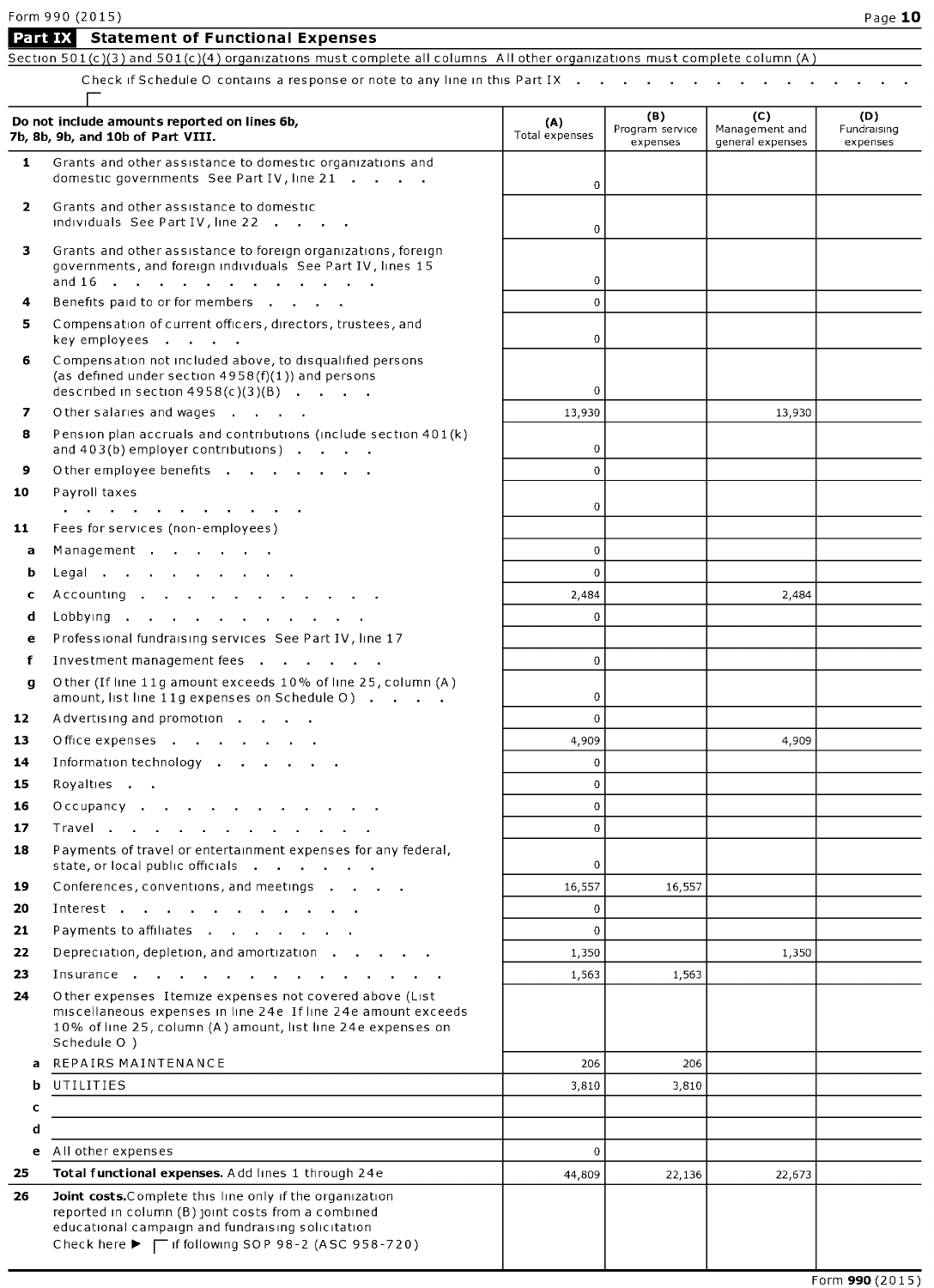|          | Form 990 (2015)                                                                                                                                                                                          |                             |                                    |                                           | Page 10                        |
|----------|----------------------------------------------------------------------------------------------------------------------------------------------------------------------------------------------------------|-----------------------------|------------------------------------|-------------------------------------------|--------------------------------|
|          | <b>Statement of Functional Expenses</b><br>Part IX<br>Section 501(c)(3) and 501(c)(4) organizations must complete all columns All other organizations must complete column (A)                           |                             |                                    |                                           |                                |
|          | Check if Schedule O contains a response or note to any line in this Part IX                                                                                                                              |                             |                                    |                                           |                                |
|          | Do not include amounts reported on lines 6b,<br>7b, 8b, 9b, and 10b of Part VIII.                                                                                                                        | (A)<br>Total expenses       | (B)<br>Program service<br>expenses | (C)<br>Management and<br>general expenses | (D)<br>Fundraising<br>expenses |
| 1.       | Grants and other assistance to domestic organizations and<br>domestic governments See Part IV, line 21                                                                                                   | 0                           |                                    |                                           |                                |
| 2        | Grants and other assistance to domestic<br>individuals See Part IV, line 22                                                                                                                              | $\mathbf 0$                 |                                    |                                           |                                |
| 3        | Grants and other assistance to foreign organizations, foreign<br>governments, and foreign individuals See Part IV, lines 15                                                                              | $\bf{0}$                    |                                    |                                           |                                |
| 4        | Benefits paid to or for members                                                                                                                                                                          | $\Omega$                    |                                    |                                           |                                |
| 5        | Compensation of current officers, directors, trustees, and<br>key employees                                                                                                                              | 0                           |                                    |                                           |                                |
| 6        | Compensation not included above, to disqualified persons<br>(as defined under section $4958(f)(1)$ ) and persons<br>described in section $4958(c)(3)(B)$                                                 | 0                           |                                    |                                           |                                |
| 7        | Other salaries and wages                                                                                                                                                                                 | 13,930                      |                                    | 13,930                                    |                                |
| 8        | Pension plan accruals and contributions (include section 401(k)<br>and 403(b) employer contributions)                                                                                                    | 0                           |                                    |                                           |                                |
| 9        | Other employee benefits                                                                                                                                                                                  | $\Omega$                    |                                    |                                           |                                |
| 10       | Payroll taxes<br>and a series of the contract of the contract of the                                                                                                                                     | 0                           |                                    |                                           |                                |
| 11       | Fees for services (non-employees)                                                                                                                                                                        |                             |                                    |                                           |                                |
| a        | Management                                                                                                                                                                                               | $\mathbf 0$                 |                                    |                                           |                                |
| b        | Legal                                                                                                                                                                                                    | $\mathbf{0}$                |                                    |                                           |                                |
| c        | Accounting                                                                                                                                                                                               | 2,484                       |                                    | 2,484                                     |                                |
| d        | Lobbying                                                                                                                                                                                                 | $\Omega$                    |                                    |                                           |                                |
| e        | Professional fundraising services See Part IV, line 17                                                                                                                                                   |                             |                                    |                                           |                                |
| f        | Investment management fees                                                                                                                                                                               | $\bf{0}$                    |                                    |                                           |                                |
| q        | Other (If line 11g amount exceeds 10% of line 25, column (A)<br>amount, list line 11g expenses on Schedule O)                                                                                            | 0                           |                                    |                                           |                                |
| 12       | Advertising and promotion                                                                                                                                                                                | $\mathbf{0}$                |                                    |                                           |                                |
| 13       | Office expenses                                                                                                                                                                                          | 4,909                       |                                    | 4,909                                     |                                |
| 14       | Information technology                                                                                                                                                                                   | $\Omega$                    |                                    |                                           |                                |
| 15       | Royalties                                                                                                                                                                                                | $\mathbf{0}$<br>$\mathbf 0$ |                                    |                                           |                                |
| 16<br>17 | Occupancy                                                                                                                                                                                                | $\bf{0}$                    |                                    |                                           |                                |
| 18       | Payments of travel or entertainment expenses for any federal,<br>state, or local public officials                                                                                                        | $\bf{0}$                    |                                    |                                           |                                |
| 19       | Conferences, conventions, and meetings                                                                                                                                                                   | 16,557                      | 16,557                             |                                           |                                |
| 20       | Interest                                                                                                                                                                                                 | $\mathbf{0}$                |                                    |                                           |                                |
| 21       | Payments to affiliates                                                                                                                                                                                   | $\mathbf 0$                 |                                    |                                           |                                |
| 22       | Depreciation, depletion, and amortization                                                                                                                                                                | 1,350                       |                                    | 1,350                                     |                                |
| 23       | Insurance                                                                                                                                                                                                | 1,563                       | 1,563                              |                                           |                                |
| 24       | Other expenses Itemize expenses not covered above (List<br>miscellaneous expenses in line 24e If line 24e amount exceeds<br>10% of line 25, column (A) amount, list line 24e expenses on<br>Schedule O ) |                             |                                    |                                           |                                |
| a        | REPAIRS MAINTENANCE                                                                                                                                                                                      | 206                         | 206                                |                                           |                                |
| b        | UTILITIES                                                                                                                                                                                                | 3,810                       | 3,810                              |                                           |                                |
| c        |                                                                                                                                                                                                          |                             |                                    |                                           |                                |
| d        |                                                                                                                                                                                                          |                             |                                    |                                           |                                |
| e        | All other expenses                                                                                                                                                                                       | $\mathbf 0$                 |                                    |                                           |                                |
| 25       | Total functional expenses. Add lines 1 through 24e                                                                                                                                                       | 44,809                      | 22,136                             | 22,673                                    |                                |

26 Joint costs. Complete this line only if the organization reported in column (B) joint costs from <sup>a</sup> combined educational campaign and fundraising solicitation <code>Check</code> here  $\blacktriangleright~\top$  if following SOP 98-2 (ASC 958-720)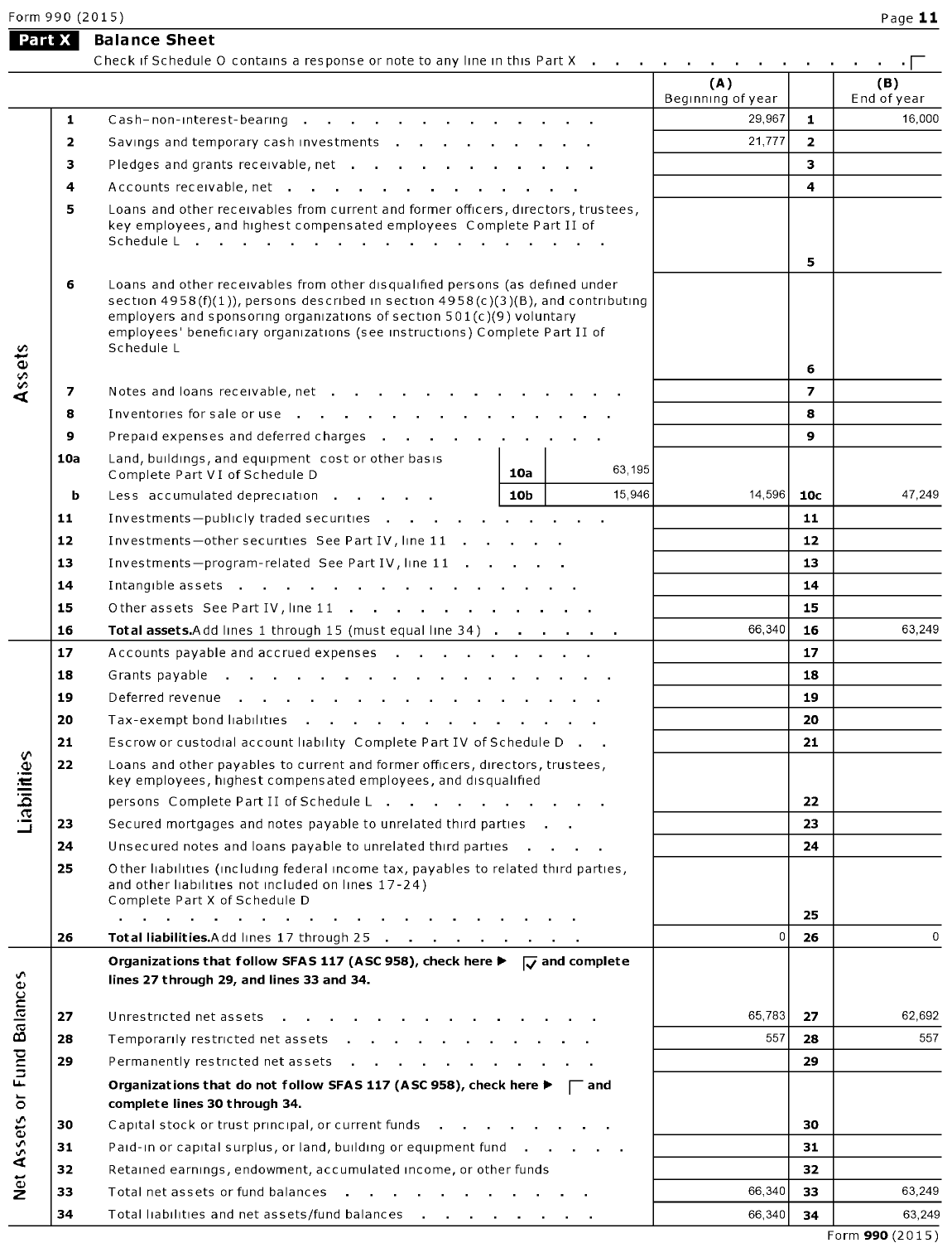|                  |     | Check if Schedule O contains a response or note to any line in this Part X                                                                                                                                                                                                                                                                     |     |        | the contract of the contract of |                         | $\cdot$ 1          |
|------------------|-----|------------------------------------------------------------------------------------------------------------------------------------------------------------------------------------------------------------------------------------------------------------------------------------------------------------------------------------------------|-----|--------|---------------------------------|-------------------------|--------------------|
|                  |     |                                                                                                                                                                                                                                                                                                                                                |     |        | (A)<br>Beginning of year        |                         | (B)<br>End of year |
|                  | 1   | Cash-non-interest-bearing                                                                                                                                                                                                                                                                                                                      |     |        | 29,967                          | $\mathbf{1}$            | 16,000             |
|                  | 2   | Savings and temporary cash investments                                                                                                                                                                                                                                                                                                         |     |        | 21,777                          | $\overline{2}$          |                    |
|                  | з   |                                                                                                                                                                                                                                                                                                                                                |     |        |                                 | 3                       |                    |
|                  | 4   | Accounts receivable, net                                                                                                                                                                                                                                                                                                                       |     |        |                                 | $\overline{\mathbf{4}}$ |                    |
|                  | 5   | Loans and other receivables from current and former officers, directors, trustees,<br>key employees, and highest compensated employees Complete Part II of<br>Schedule L                                                                                                                                                                       |     |        | 5                               |                         |                    |
|                  | 6   | Loans and other receivables from other disqualified persons (as defined under<br>section $4958(f)(1)$ ), persons described in section $4958(c)(3)(B)$ , and contributing<br>employers and sponsoring organizations of section 501(c)(9) voluntary<br>employees' beneficiary organizations (see instructions) Complete Part II of<br>Schedule L |     |        | 6                               |                         |                    |
| Assets           | 7   | Notes and loans receivable, net                                                                                                                                                                                                                                                                                                                |     |        |                                 | $\overline{z}$          |                    |
|                  | 8   | Inventories for sale or use                                                                                                                                                                                                                                                                                                                    |     |        |                                 | 8                       |                    |
|                  | 9   | Prepaid expenses and deferred charges                                                                                                                                                                                                                                                                                                          |     |        |                                 | 9                       |                    |
|                  | 10a | Land, buildings, and equipment cost or other basis                                                                                                                                                                                                                                                                                             |     |        |                                 |                         |                    |
|                  |     | Complete Part VI of Schedule D                                                                                                                                                                                                                                                                                                                 | 10a | 63,195 |                                 |                         |                    |
|                  | b   | Less accumulated depreciation                                                                                                                                                                                                                                                                                                                  | 10b | 15,946 | 14,596                          | 10 <sub>c</sub>         | 47.249             |
|                  | 11  | Investments-publicly traded securities                                                                                                                                                                                                                                                                                                         |     |        |                                 | 11                      |                    |
|                  | 12  | Investments-other securities See Part IV, line 11                                                                                                                                                                                                                                                                                              |     |        |                                 | 12                      |                    |
|                  | 13  | Investments-program-related See Part IV, line 11                                                                                                                                                                                                                                                                                               |     |        |                                 | 13                      |                    |
|                  | 14  | Intangible assets                                                                                                                                                                                                                                                                                                                              |     |        |                                 | 14                      |                    |
|                  | 15  | Other assets See Part IV, line 11                                                                                                                                                                                                                                                                                                              |     |        |                                 | 15                      |                    |
|                  | 16  | Total assets.Add lines 1 through 15 (must equal line 34)                                                                                                                                                                                                                                                                                       |     |        | 66,340                          | 16                      | 63,249             |
|                  | 17  | Accounts payable and accrued expenses                                                                                                                                                                                                                                                                                                          |     |        |                                 | 17                      |                    |
|                  | 18  | Grants payable                                                                                                                                                                                                                                                                                                                                 |     |        |                                 | 18                      |                    |
|                  | 19  | Deferred revenue                                                                                                                                                                                                                                                                                                                               |     |        |                                 | 19                      |                    |
|                  | 20  | Tax-exempt bond liabilities                                                                                                                                                                                                                                                                                                                    |     |        |                                 | 20                      |                    |
|                  | 21  | Escrow or custodial account liability Complete Part IV of Schedule D.                                                                                                                                                                                                                                                                          |     |        |                                 | 21                      |                    |
| Liabilities      | 22  | Loans and other payables to current and former officers, directors, trustees,<br>key employees, highest compensated employees, and disqualified                                                                                                                                                                                                |     |        |                                 |                         |                    |
|                  |     | persons Complete Part II of Schedule L                                                                                                                                                                                                                                                                                                         |     |        |                                 | 22                      |                    |
|                  | 23  | Secured mortgages and notes payable to unrelated third parties                                                                                                                                                                                                                                                                                 |     |        |                                 | 23                      |                    |
|                  | 24  | Unsecured notes and loans payable to unrelated third parties                                                                                                                                                                                                                                                                                   |     |        |                                 | 24                      |                    |
|                  | 25  | Other liabilities (including federal income tax, payables to related third parties,<br>and other liabilities not included on lines 17-24)<br>Complete Part X of Schedule D                                                                                                                                                                     |     |        |                                 |                         |                    |
|                  |     | a construction of the construction of the construction of the construction of the construction of the construction of the construction of the construction of the construction of the construction of the construction of the                                                                                                                  |     |        | $\mathbf{0}$                    | 25                      | $\mathbf{0}$       |
|                  | 26  | Total liabilities.Add lines 17 through 25                                                                                                                                                                                                                                                                                                      |     |        |                                 | 26                      |                    |
|                  |     | Organizations that follow SFAS 117 (ASC 958), check here $\blacktriangleright \Box$ and complete<br>lines 27 through 29, and lines 33 and 34.                                                                                                                                                                                                  |     |        |                                 |                         |                    |
|                  | 27  | Unrestricted net assets                                                                                                                                                                                                                                                                                                                        |     |        | 65,783                          | 27                      | 62,692             |
|                  | 28  | Temporarily restricted net assets                                                                                                                                                                                                                                                                                                              |     |        | 557                             | 28                      | 557                |
|                  | 29  | Permanently restricted net assets                                                                                                                                                                                                                                                                                                              |     |        |                                 | 29                      |                    |
| or Fund Balances |     | Organizations that do not follow SFAS 117 (ASC 958), check here $\blacktriangleright \sqsubset \square$ and<br>complete lines 30 through 34.                                                                                                                                                                                                   |     |        |                                 |                         |                    |
|                  | 30  | Capital stock or trust principal, or current funds                                                                                                                                                                                                                                                                                             |     |        |                                 | 30                      |                    |
|                  | 31  | Paid-in or capital surplus, or land, building or equipment fund                                                                                                                                                                                                                                                                                |     |        |                                 | 31                      |                    |
| Net Assets       | 32  | Retained earnings, endowment, accumulated income, or other funds                                                                                                                                                                                                                                                                               |     |        |                                 | 32                      |                    |
|                  | 33  | Total net assets or fund balances                                                                                                                                                                                                                                                                                                              |     |        | 66,340                          | 33                      | 63,249             |
|                  | 34  | Total liabilities and net assets/fund balances                                                                                                                                                                                                                                                                                                 |     |        | 66,340                          | 34                      | 63,249             |
|                  |     |                                                                                                                                                                                                                                                                                                                                                |     |        |                                 |                         |                    |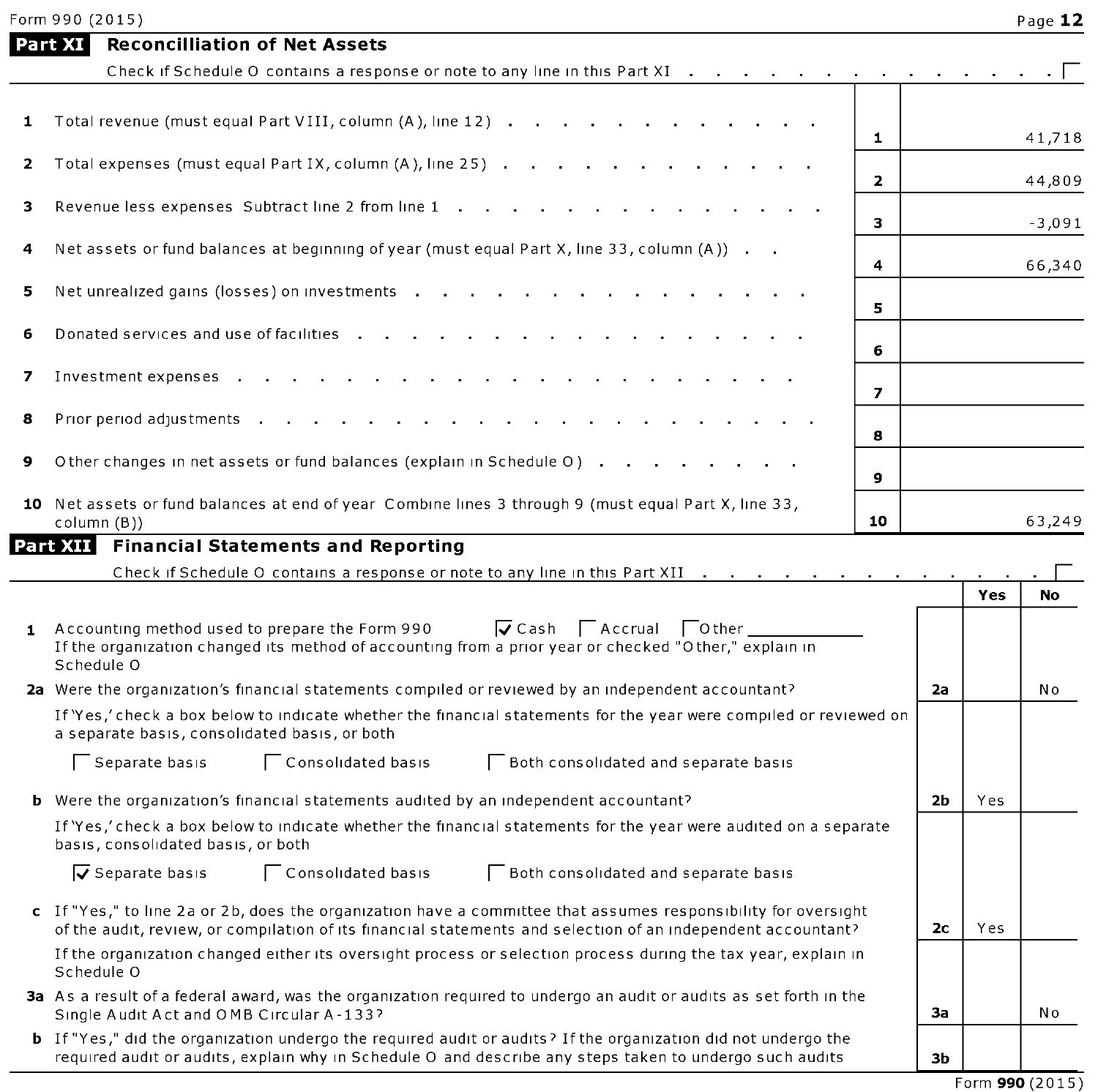|              | <b>Reconcilliation of Net Assets</b><br>Part XI                                                                                                                                                                                  |                         |    |     |           |
|--------------|----------------------------------------------------------------------------------------------------------------------------------------------------------------------------------------------------------------------------------|-------------------------|----|-----|-----------|
|              | Check if Schedule O contains a response or note to any line in this Part XI                                                                                                                                                      |                         |    |     |           |
|              |                                                                                                                                                                                                                                  |                         |    |     |           |
| 1            | Total revenue (must equal Part VIII, column (A), line 12)                                                                                                                                                                        | $\mathbf{1}$            |    |     | 41,718    |
| 2            | Total expenses (must equal Part IX, column (A), line 25)                                                                                                                                                                         | $\overline{\mathbf{z}}$ |    |     | 44,809    |
| з            | Revenue less expenses Subtract line 2 from line 1                                                                                                                                                                                | 3                       |    |     | $-3,091$  |
| 4            | Net assets or fund balances at beginning of year (must equal Part X, line 33, column (A))                                                                                                                                        | 4                       |    |     | 66,340    |
| 5            | Net unrealized gains (losses) on investments                                                                                                                                                                                     |                         |    |     |           |
| 6            | Donated services and use of facilities                                                                                                                                                                                           | 5                       |    |     |           |
|              |                                                                                                                                                                                                                                  | 6                       |    |     |           |
| 7            | Investment expenses                                                                                                                                                                                                              | $\overline{z}$          |    |     |           |
| 8            | Prior period adjustments .                                                                                                                                                                                                       | 8                       |    |     |           |
| 9            | Other changes in net assets or fund balances (explain in Schedule O)                                                                                                                                                             | 9                       |    |     |           |
|              | 10 Net assets or fund balances at end of year Combine lines 3 through 9 (must equal Part X, line 33,<br>column (B))                                                                                                              | 10                      |    |     | 63,249    |
|              | Part XIII Financial Statements and Reporting                                                                                                                                                                                     |                         |    |     |           |
|              | Check if Schedule O contains a response or note to any line in this Part XII $\ldots$ .                                                                                                                                          |                         |    |     |           |
|              |                                                                                                                                                                                                                                  |                         |    | Yes | <b>No</b> |
| $\mathbf{1}$ | $\sqrt{C}$ Cash $\sqrt{C}$ Accrual $\sqrt{C}$ Other<br>Accounting method used to prepare the Form 990<br>If the organization changed its method of accounting from a prior year or checked "Other," explain in<br>Schedule O     |                         |    |     |           |
|              | 2a Were the organization's financial statements compiled or reviewed by an independent accountant?                                                                                                                               |                         | 2a |     | No        |
|              | If 'Yes,' check a box below to indicate whether the financial statements for the year were compiled or reviewed on<br>a separate basis, consolidated basis, or both                                                              |                         |    |     |           |
|              | Separate basis<br>Consolidated basis<br><b>Both consolidated and separate basis</b>                                                                                                                                              |                         |    |     |           |
|              | <b>b</b> Were the organization's financial statements audited by an independent accountant?                                                                                                                                      |                         | 2b | Yes |           |
|              | If 'Yes,' check a box below to indicate whether the financial statements for the year were audited on a separate<br>basis, consolidated basis, or both                                                                           |                         |    |     |           |
|              | $\overline{v}$ Separate basis<br>Consolidated basis<br>Both consolidated and separate basis                                                                                                                                      |                         |    |     |           |
|              | c If "Yes," to line 2a or 2b, does the organization have a committee that assumes responsibility for oversight<br>of the audit, review, or compilation of its financial statements and selection of an independent accountant?   |                         | 2c | Yes |           |
|              | If the organization changed either its oversight process or selection process during the tax year, explain in<br>Schedule O                                                                                                      |                         |    |     |           |
|              | 3a As a result of a federal award, was the organization required to undergo an audit or audits as set forth in the<br>Single Audit Act and OMB Circular A-133?                                                                   |                         | За |     | No        |
|              | <b>b</b> If "Yes," did the organization undergo the required audit or audits? If the organization did not undergo the<br>required audit or audits, explain why in Schedule O and describe any steps taken to undergo such audits |                         | 3b |     |           |
|              |                                                                                                                                                                                                                                  |                         |    |     |           |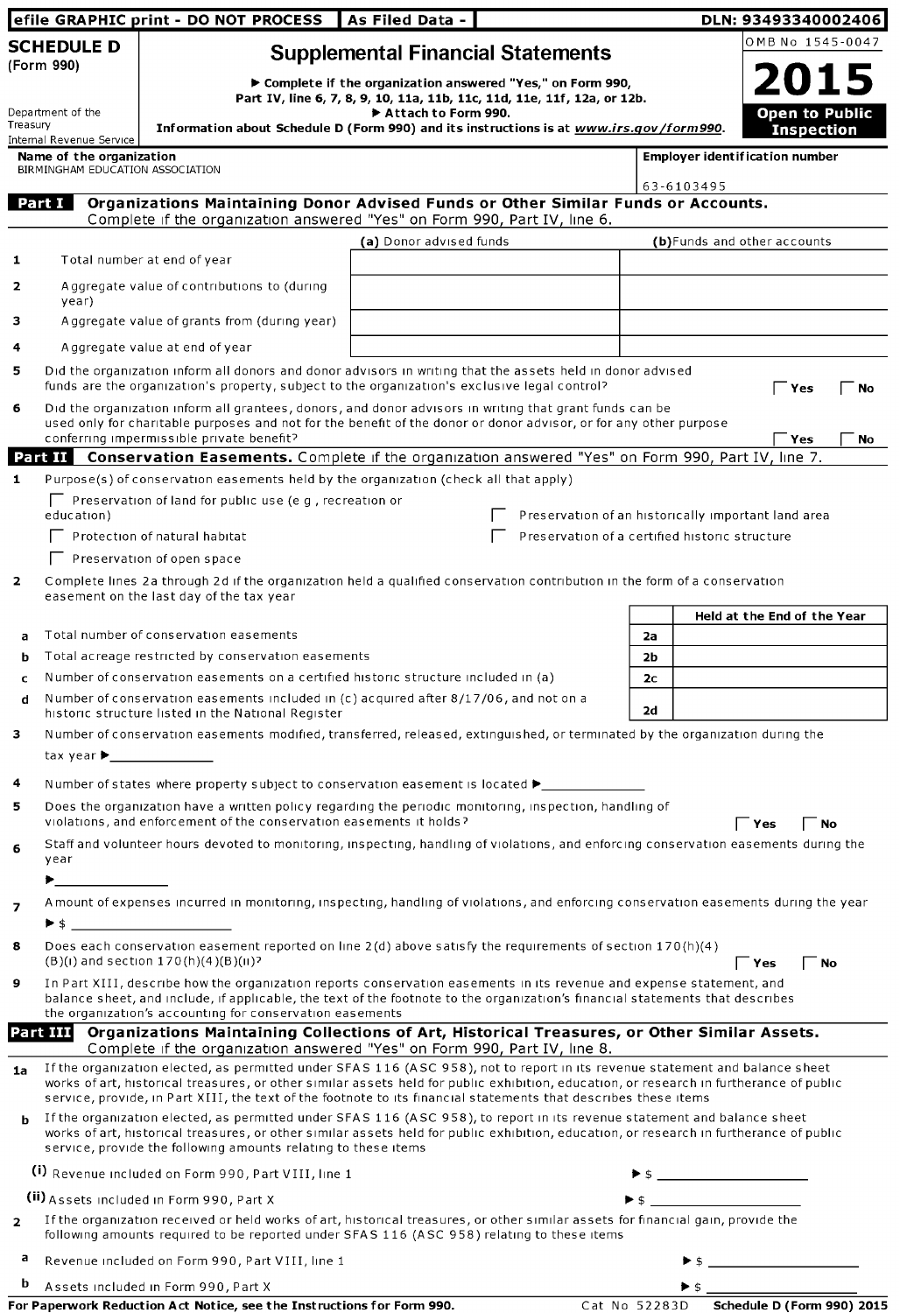|                |                                                                                                                                                                                                                                                                                                                        | efile GRAPHIC print - DO NOT PROCESS                                                                                                                                                                                                                                                                                                  | As Filed Data -         |                                                                                                                                         |                |                          | DLN: 93493340002406                   |
|----------------|------------------------------------------------------------------------------------------------------------------------------------------------------------------------------------------------------------------------------------------------------------------------------------------------------------------------|---------------------------------------------------------------------------------------------------------------------------------------------------------------------------------------------------------------------------------------------------------------------------------------------------------------------------------------|-------------------------|-----------------------------------------------------------------------------------------------------------------------------------------|----------------|--------------------------|---------------------------------------|
|                | <b>SCHEDULE D</b><br>(Form 990)                                                                                                                                                                                                                                                                                        |                                                                                                                                                                                                                                                                                                                                       |                         | <b>Supplemental Financial Statements</b>                                                                                                |                |                          | OMB No 1545-0047                      |
|                | Department of the                                                                                                                                                                                                                                                                                                      |                                                                                                                                                                                                                                                                                                                                       | Attach to Form 990.     | ▶ Complete if the organization answered "Yes," on Form 990,<br>Part IV, line 6, 7, 8, 9, 10, 11a, 11b, 11c, 11d, 11e, 11f, 12a, or 12b. |                |                          | <b>2015</b><br><b>Open to Public</b>  |
| Treasury       | Internal Revenue Service                                                                                                                                                                                                                                                                                               | Information about Schedule D (Form 990) and its instructions is at www.irs.gov/form990.                                                                                                                                                                                                                                               |                         |                                                                                                                                         |                |                          | <b>Inspection</b>                     |
|                | Name of the organization<br>BIRMINGHAM EDUCATION ASSOCIATION                                                                                                                                                                                                                                                           |                                                                                                                                                                                                                                                                                                                                       |                         |                                                                                                                                         |                |                          | <b>Employer identification number</b> |
|                | Part I                                                                                                                                                                                                                                                                                                                 | Organizations Maintaining Donor Advised Funds or Other Similar Funds or Accounts.<br>Complete if the organization answered "Yes" on Form 990, Part IV, line 6.                                                                                                                                                                        |                         |                                                                                                                                         |                | 63-6103495               |                                       |
| 1              |                                                                                                                                                                                                                                                                                                                        | Total number at end of year                                                                                                                                                                                                                                                                                                           | (a) Donor advised funds |                                                                                                                                         |                |                          | (b)Funds and other accounts           |
| 2              | year)                                                                                                                                                                                                                                                                                                                  | Aggregate value of contributions to (during                                                                                                                                                                                                                                                                                           |                         |                                                                                                                                         |                |                          |                                       |
| з              |                                                                                                                                                                                                                                                                                                                        | Aggregate value of grants from (during year)                                                                                                                                                                                                                                                                                          |                         |                                                                                                                                         |                |                          |                                       |
| 4              |                                                                                                                                                                                                                                                                                                                        | A ggregate value at end of year                                                                                                                                                                                                                                                                                                       |                         |                                                                                                                                         |                |                          |                                       |
| 5              |                                                                                                                                                                                                                                                                                                                        | Did the organization inform all donors and donor advisors in writing that the assets held in donor advised<br>funds are the organization's property, subject to the organization's exclusive legal control?                                                                                                                           |                         |                                                                                                                                         |                |                          | $\Gamma$ Yes<br><b>No</b>             |
| 6              |                                                                                                                                                                                                                                                                                                                        | Did the organization inform all grantees, donors, and donor advisors in writing that grant funds can be<br>used only for charitable purposes and not for the benefit of the donor or donor advisor, or for any other purpose<br>conferring impermissible private benefit?                                                             |                         |                                                                                                                                         |                |                          | Yes<br><b>No</b>                      |
|                |                                                                                                                                                                                                                                                                                                                        | Part II Conservation Easements. Complete if the organization answered "Yes" on Form 990, Part IV, line 7.                                                                                                                                                                                                                             |                         |                                                                                                                                         |                |                          |                                       |
| $\mathbf{1}$   |                                                                                                                                                                                                                                                                                                                        | Purpose(s) of conservation easements held by the organization (check all that apply)                                                                                                                                                                                                                                                  |                         |                                                                                                                                         |                |                          |                                       |
|                | education)                                                                                                                                                                                                                                                                                                             | $\Box$ Preservation of land for public use (e.g., recreation or                                                                                                                                                                                                                                                                       |                         | Preservation of an historically important land area                                                                                     |                |                          |                                       |
|                |                                                                                                                                                                                                                                                                                                                        | Protection of natural habitat<br>Preservation of open space                                                                                                                                                                                                                                                                           |                         | Preservation of a certified historic structure                                                                                          |                |                          |                                       |
| $\overline{2}$ |                                                                                                                                                                                                                                                                                                                        | Complete lines 2a through 2d if the organization held a qualified conservation contribution in the form of a conservation<br>easement on the last day of the tax year                                                                                                                                                                 |                         |                                                                                                                                         |                |                          |                                       |
|                |                                                                                                                                                                                                                                                                                                                        |                                                                                                                                                                                                                                                                                                                                       |                         |                                                                                                                                         |                |                          | Held at the End of the Year           |
| a              |                                                                                                                                                                                                                                                                                                                        | Total number of conservation easements                                                                                                                                                                                                                                                                                                |                         |                                                                                                                                         | 2a             |                          |                                       |
| b              |                                                                                                                                                                                                                                                                                                                        | Total acreage restricted by conservation easements                                                                                                                                                                                                                                                                                    |                         |                                                                                                                                         | 2 <sub>b</sub> |                          |                                       |
| c<br>d         | Number of conservation easements on a certified historic structure included in (a)<br>2c<br>Number of conservation easements included in (c) acquired after 8/17/06, and not on a<br>2d<br>historic structure listed in the National Register                                                                          |                                                                                                                                                                                                                                                                                                                                       |                         |                                                                                                                                         |                |                          |                                       |
| з              | tax year ▶                                                                                                                                                                                                                                                                                                             | Number of conservation easements modified, transferred, released, extinguished, or terminated by the organization during the                                                                                                                                                                                                          |                         |                                                                                                                                         |                |                          |                                       |
| 4              |                                                                                                                                                                                                                                                                                                                        | Number of states where property subject to conservation easement is located $\blacktriangleright$                                                                                                                                                                                                                                     |                         |                                                                                                                                         |                |                          |                                       |
| 5              |                                                                                                                                                                                                                                                                                                                        | Does the organization have a written policy regarding the periodic monitoring, inspection, handling of<br>violations, and enforcement of the conservation easements it holds?                                                                                                                                                         |                         |                                                                                                                                         |                |                          | ັ Yes<br>้ No                         |
| 6              | year                                                                                                                                                                                                                                                                                                                   | Staff and volunteer hours devoted to monitoring, inspecting, handling of violations, and enforcing conservation easements during the                                                                                                                                                                                                  |                         |                                                                                                                                         |                |                          |                                       |
|                | $\blacktriangleright$ and $\blacktriangleright$ and $\blacktriangleright$                                                                                                                                                                                                                                              |                                                                                                                                                                                                                                                                                                                                       |                         |                                                                                                                                         |                |                          |                                       |
| 7              |                                                                                                                                                                                                                                                                                                                        | Amount of expenses incurred in monitoring, inspecting, handling of violations, and enforcing conservation easements during the year<br>$\triangleright$ \$                                                                                                                                                                            |                         |                                                                                                                                         |                |                          |                                       |
| 8              |                                                                                                                                                                                                                                                                                                                        | Does each conservation easement reported on line 2(d) above satisfy the requirements of section 170(h)(4)<br>$(B)(1)$ and section $170(h)(4)(B)(1)$ ?                                                                                                                                                                                 |                         |                                                                                                                                         |                |                          | Yes<br>No                             |
|                | In Part XIII, describe how the organization reports conservation easements in its revenue and expense statement, and<br>9<br>balance sheet, and include, if applicable, the text of the footnote to the organization's financial statements that describes<br>the organization's accounting for conservation easements |                                                                                                                                                                                                                                                                                                                                       |                         |                                                                                                                                         |                |                          |                                       |
|                |                                                                                                                                                                                                                                                                                                                        | Part III Organizations Maintaining Collections of Art, Historical Treasures, or Other Similar Assets.                                                                                                                                                                                                                                 |                         |                                                                                                                                         |                |                          |                                       |
| 1a             |                                                                                                                                                                                                                                                                                                                        | Complete if the organization answered "Yes" on Form 990, Part IV, line 8.<br>If the organization elected, as permitted under SFAS 116 (ASC 958), not to report in its revenue statement and balance sheet                                                                                                                             |                         |                                                                                                                                         |                |                          |                                       |
|                |                                                                                                                                                                                                                                                                                                                        | works of art, historical treasures, or other similar assets held for public exhibition, education, or research in furtherance of public<br>service, provide, in Part XIII, the text of the footnote to its financial statements that describes these items                                                                            |                         |                                                                                                                                         |                |                          |                                       |
| b              |                                                                                                                                                                                                                                                                                                                        | If the organization elected, as permitted under SFAS 116 (ASC 958), to report in its revenue statement and balance sheet<br>works of art, historical treasures, or other similar assets held for public exhibition, education, or research in furtherance of public<br>service, provide the following amounts relating to these items |                         |                                                                                                                                         |                |                          |                                       |
|                |                                                                                                                                                                                                                                                                                                                        | (i) Revenue included on Form 990, Part VIII, line 1                                                                                                                                                                                                                                                                                   |                         |                                                                                                                                         |                |                          |                                       |
|                |                                                                                                                                                                                                                                                                                                                        | (ii) Assets included in Form 990, Part X                                                                                                                                                                                                                                                                                              |                         |                                                                                                                                         |                |                          |                                       |
| $\overline{2}$ |                                                                                                                                                                                                                                                                                                                        | If the organization received or held works of art, historical treasures, or other similar assets for financial gain, provide the<br>following amounts required to be reported under SFAS 116 (ASC 958) relating to these items                                                                                                        |                         |                                                                                                                                         |                |                          |                                       |
| а              |                                                                                                                                                                                                                                                                                                                        | Revenue included on Form 990, Part VIII, line 1                                                                                                                                                                                                                                                                                       |                         |                                                                                                                                         |                |                          |                                       |
| b              |                                                                                                                                                                                                                                                                                                                        | Assets included in Form 990, Part X                                                                                                                                                                                                                                                                                                   |                         |                                                                                                                                         |                | $\blacktriangleright$ \$ |                                       |
|                |                                                                                                                                                                                                                                                                                                                        | For Paperwork Reduction Act Notice, see the Instructions for Form 990.                                                                                                                                                                                                                                                                |                         |                                                                                                                                         | Cat No 52283D  |                          | Schedule D (Form 990) 2015            |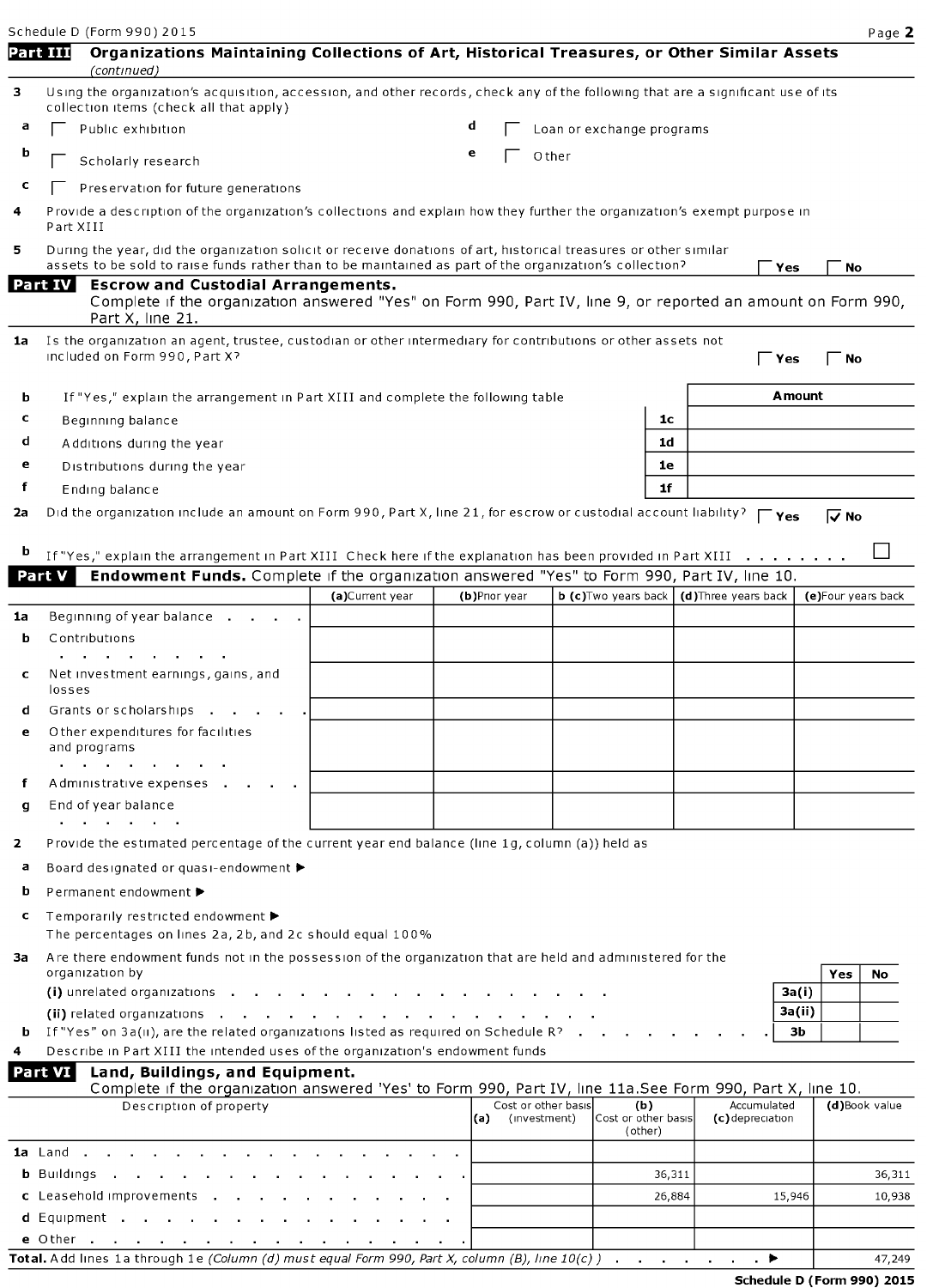Schedule D (Form 990) 2015 **Page 2** Part III Organizations Maintaining Collections of Art, Historical Treasures, or Other Similar Assets (continued) 3 Using the organization's acquisition, accession, and other records, check any of the following that are a significant use of its collection items (check all that apply) a  $\Box$  Public exhibition d  $\Box$  Loan or exchange programs  $\mathbf{b}$   $\Box$  Scholarly research e  $\Box$  Other  $c \fbox{Preservation}$  Freservation for future generations Provide a description of the organization's collections and explain how they further the organization's exempt purpose in Part XIII 5 During the year, did the organization solicit or receive donations of art, historical treasures or other similar assets to be sold to raise funds rather than to be maintained as part of the organization's collection?  $\Gamma$  Yes  $\Gamma$  No Escrow and Custodial Arrangements. **Part IV** Complete if the organization answered "Yes" on Form 990, Part IV, line 9, or reported an amount on Form 990, Part X, line 21. 1a Is the organization an agent, trustee, custodian or other intermediary for contributions or other assets not included on Form 990, Part X? Equation of  $\Gamma$  Yes F\_ No. For  $\Gamma$  Yes F\_ No. For  $\Gamma$ **b** If "Yes," explain the arrangement in Part XIII and complete the following table **Amount**  $\text{c}$  Beginning balance  $\vert$  10  $\mathbf d$  Additions during the year later and the set of  $\mathbf d$ e Distributions during the year letter and the set of the set of the set of the set of the set of the set of the set of the set of the set of the set of the set of the set of the set of the set of the set of the set of the f Ending balance 11 and 16 and 16 and 16 and 16 and 16 and 16 and 16 and 16 and 16 and 16 and 16 and 16 and 16 and 16 and 16 and 16 and 16 and 16 and 16 and 16 and 16 and 16 and 16 and 16 and 16 and 16 and 16 and 16 and 16 2a Did the organization include an amount on Form 990, Part X, line 21, for escrow or custodial account liability?  $\Gamma$ Yes  $\overline{V}$ No **b** If "Yes," explain the arrangement in Part XIII Check here if the explanation has been provided in Part XIII  $\ldots$ Part V Endowment Funds. Complete if the organization answered "Yes" to Form 990, Part IV, line 10. (a)Current year (b)Prior year b (c)Two years back (d)Three years back (e)Four years back 1a Beginning of year balance **b** Contributions  $\sim$  $\sim 10^{-1}$  $\sim$  $\sim$ Net investment earnings, gains, and losses d Grants or scholarships . . e Other expenditures for facilities and programs  $\mathbf{r} = \mathbf{r} \times \mathbf{r}$  , where  $\mathbf{r} = \mathbf{r}$ Administrative expenses . g End of year balance  $\mathbf{r}$  and  $\mathbf{r}$  are the set of  $\mathbf{r}$ 2 Provide the estimated percentage of the current year end balance (line 1g, column (a)) held as <sup>a</sup> Board designated or quasi-endowment ► <sup>b</sup> Permanent endowment ► <sup>c</sup> Temporarily restricted endowment ► The percentages on lines 2a, 2b, and 2c should equal 100% 3a Are there endowment funds not in the possession of the organization that are held and administered for the organization by organization by  $\begin{array}{|c|c|c|c|c|}\hline \textbf{Yes} & \textbf{No} \\\hline \end{array}$ (i) unrelated organizations . . . . . . . . . . . . . . . . . 3a(i) (ii) related organizations . . . . . . . . . . . . . . . 3a(ii) If "Yes" on 3a(ii), are the related organizations listed as required on Schedule R?  $\cdots$   $\cdots$   $\cdots$   $\cdots$ Describe in Part XIII the intended uses of the organization's endowment funds Part VI Land, Buildings, and Equipment. Complete if the organization answered 'Yes' to Form 990, Part IV, line 11a.See Form 990, Part X, line 10. Description of property  $\begin{bmatrix} \text{Cost or other basis} \\ \text{(a)} \end{bmatrix}$  (investment) (b) Accumulated (d)Book value (investment) Cost or other basis (c)depreciation (other) **1a** Land . . . . . b Buildings . . . . . . . . . . . . . 36,311 36,311

| Total.<br>1a through 1e (Column (d) must equal Form 990, Part X, column (B), line 10(c) )<br>. A dd lines | 249 |
|-----------------------------------------------------------------------------------------------------------|-----|

d Equipment

**c** Leasehold improvements . . . . . . . . . . . . . . . . . 26,884 15,946 10,938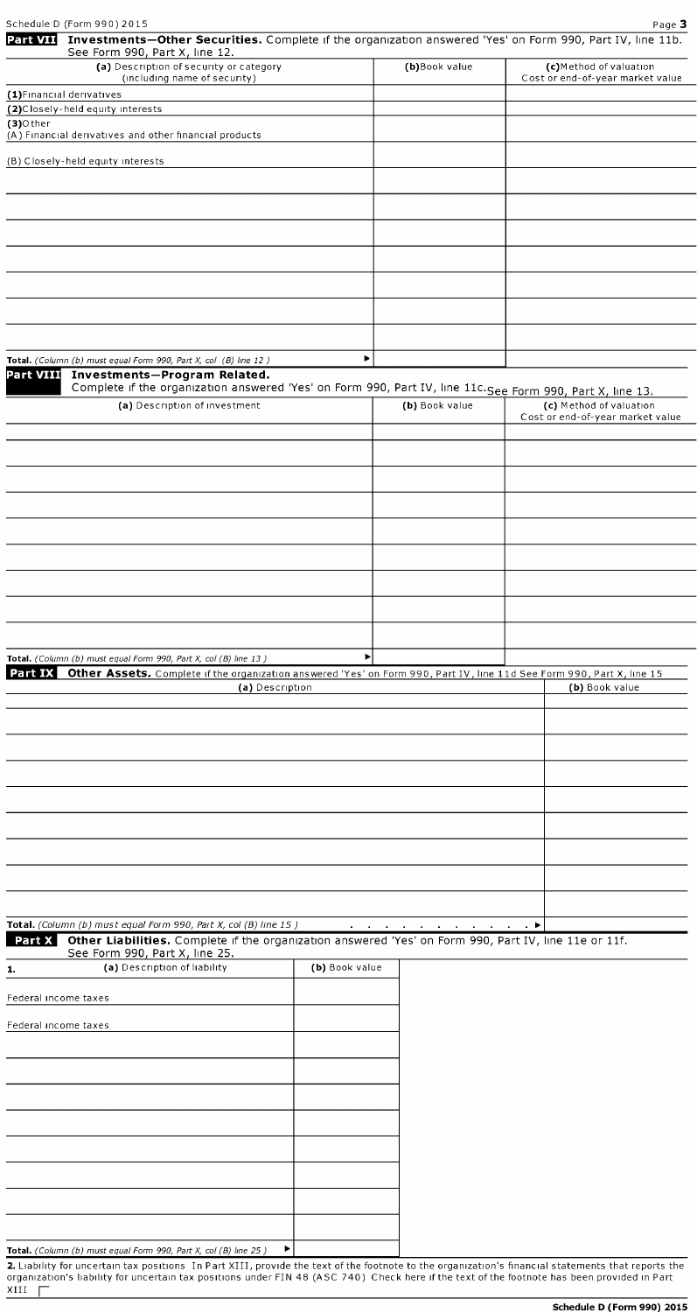|                      | Schedule D (Form 990) 2015                                                                                                                                                                 |                |                |                | Page 3                                                     |
|----------------------|--------------------------------------------------------------------------------------------------------------------------------------------------------------------------------------------|----------------|----------------|----------------|------------------------------------------------------------|
| <b>Part VII</b>      | Investments-Other Securities. Complete if the organization answered 'Yes' on Form 990, Part IV, line 11b.<br>See Form 990, Part X, line 12.                                                |                |                |                |                                                            |
|                      | (a) Description of security or category<br>(including name of security)                                                                                                                    |                | (b)Book value  |                | (c)Method of valuation<br>Cost or end-of-year market value |
|                      | (1) Financial derivatives                                                                                                                                                                  |                |                |                |                                                            |
|                      | (2) Closely-held equity interests                                                                                                                                                          |                |                |                |                                                            |
| $(3)$ Other          | (A) Financial derivatives and other financial products                                                                                                                                     |                |                |                |                                                            |
|                      | (B) Closely-held equity interests                                                                                                                                                          |                |                |                |                                                            |
|                      |                                                                                                                                                                                            |                |                |                |                                                            |
|                      |                                                                                                                                                                                            |                |                |                |                                                            |
|                      |                                                                                                                                                                                            |                |                |                |                                                            |
|                      |                                                                                                                                                                                            |                |                |                |                                                            |
|                      |                                                                                                                                                                                            |                |                |                |                                                            |
|                      |                                                                                                                                                                                            |                |                |                |                                                            |
|                      |                                                                                                                                                                                            |                |                |                |                                                            |
|                      |                                                                                                                                                                                            |                |                |                |                                                            |
|                      |                                                                                                                                                                                            |                |                |                |                                                            |
|                      | Total. (Column (b) must equal Form 990, Part X, col (B) line 12)                                                                                                                           | ▶              |                |                |                                                            |
| <b>Part VIII</b>     | Investments-Program Related.<br>Complete if the organization answered 'Yes' on Form 990, Part IV, line 11c. See Form 990, Part X, line 13.                                                 |                |                |                |                                                            |
|                      | (a) Description of investment                                                                                                                                                              |                | (b) Book value |                | (c) Method of valuation                                    |
|                      |                                                                                                                                                                                            |                |                |                | Cost or end-of-year market value                           |
|                      |                                                                                                                                                                                            |                |                |                |                                                            |
|                      |                                                                                                                                                                                            |                |                |                |                                                            |
|                      |                                                                                                                                                                                            |                |                |                |                                                            |
|                      |                                                                                                                                                                                            |                |                |                |                                                            |
|                      |                                                                                                                                                                                            |                |                |                |                                                            |
|                      |                                                                                                                                                                                            |                |                |                |                                                            |
|                      |                                                                                                                                                                                            |                |                |                |                                                            |
|                      |                                                                                                                                                                                            |                |                |                |                                                            |
|                      |                                                                                                                                                                                            |                |                |                |                                                            |
|                      |                                                                                                                                                                                            |                |                |                |                                                            |
|                      |                                                                                                                                                                                            |                |                |                |                                                            |
| Part IX              | Total. (Column (b) must equal Form 990, Part X, col (B) line 13)<br>Other Assets. Complete if the organization answered 'Yes' on Form 990, Part IV, line 11d See Form 990, Part X, line 15 |                |                |                |                                                            |
|                      | (a) Description                                                                                                                                                                            |                |                |                | (b) Book value                                             |
|                      |                                                                                                                                                                                            |                |                |                |                                                            |
|                      |                                                                                                                                                                                            |                |                |                |                                                            |
|                      |                                                                                                                                                                                            |                |                |                |                                                            |
|                      |                                                                                                                                                                                            |                |                |                |                                                            |
|                      |                                                                                                                                                                                            |                |                |                |                                                            |
|                      |                                                                                                                                                                                            |                |                |                |                                                            |
|                      |                                                                                                                                                                                            |                |                |                |                                                            |
|                      |                                                                                                                                                                                            |                |                |                |                                                            |
|                      |                                                                                                                                                                                            |                |                |                |                                                            |
|                      |                                                                                                                                                                                            |                |                |                |                                                            |
|                      |                                                                                                                                                                                            |                |                |                |                                                            |
|                      | Total. (Column (b) must equal Form 990, Part X, col (B) line 15)<br>Part X Other Liabilities. Complete if the organization answered 'Yes' on Form 990, Part IV, line 11e or 11f.           |                |                | $\blacksquare$ |                                                            |
|                      | See Form 990, Part X, line 25.                                                                                                                                                             |                |                |                |                                                            |
| 1.                   | (a) Description of liability                                                                                                                                                               | (b) Book value |                |                |                                                            |
| Federal income taxes |                                                                                                                                                                                            |                |                |                |                                                            |
|                      |                                                                                                                                                                                            |                |                |                |                                                            |
| Federal income taxes |                                                                                                                                                                                            |                |                |                |                                                            |
|                      |                                                                                                                                                                                            |                |                |                |                                                            |
|                      |                                                                                                                                                                                            |                |                |                |                                                            |
|                      |                                                                                                                                                                                            |                |                |                |                                                            |
|                      |                                                                                                                                                                                            |                |                |                |                                                            |
|                      |                                                                                                                                                                                            |                |                |                |                                                            |
|                      |                                                                                                                                                                                            |                |                |                |                                                            |
|                      |                                                                                                                                                                                            |                |                |                |                                                            |
|                      |                                                                                                                                                                                            |                |                |                |                                                            |
|                      |                                                                                                                                                                                            |                |                |                |                                                            |
|                      |                                                                                                                                                                                            |                |                |                |                                                            |
|                      | Total. (Column (b) must equal Form 990, Part X, col (B) line 25)                                                                                                                           | Þ              |                |                |                                                            |

2. Liability for uncertain tax positions In Part XIII, provide the text of the footnote to the organization's financial statements that reports the<br>organization's liability for uncertain tax positions under FIN 48 (ASC 740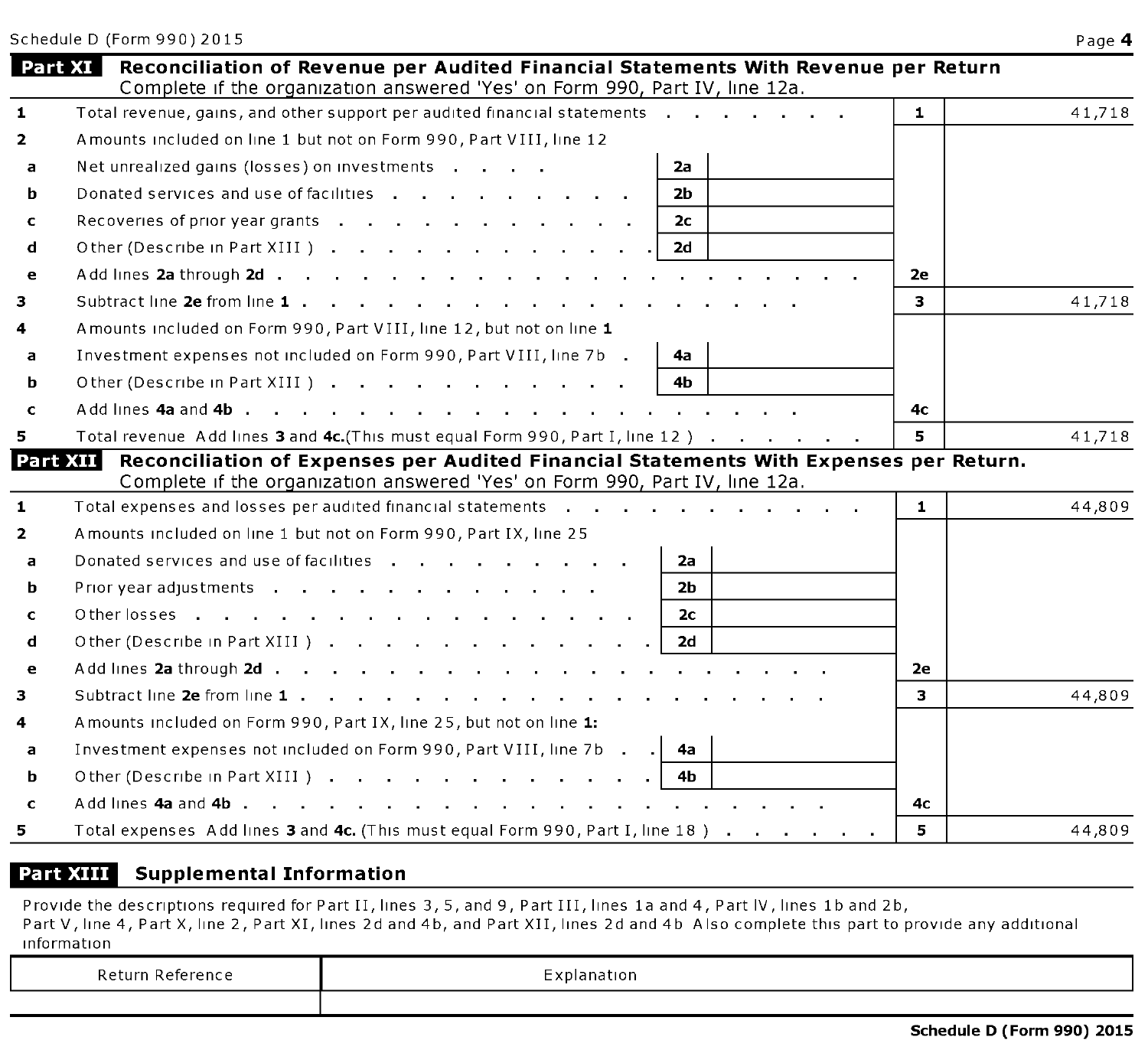Schedule D (Form 990) 2015 **Page 4** 

|              | Part XI<br>Reconciliation of Revenue per Audited Financial Statements With Revenue per Return<br>Complete if the organization answered 'Yes' on Form 990, Part IV, line 12a.                                                   |              |        |
|--------------|--------------------------------------------------------------------------------------------------------------------------------------------------------------------------------------------------------------------------------|--------------|--------|
| $\mathbf{1}$ | Total revenue, gains, and other support per audited financial statements                                                                                                                                                       | $\mathbf{1}$ | 41,718 |
| $\mathbf{z}$ | Amounts included on line 1 but not on Form 990, Part VIII, line 12                                                                                                                                                             |              |        |
| a            | Net unrealized gains (losses) on investments<br>2а                                                                                                                                                                             |              |        |
| b            | Donated services and use of facilities<br>2b                                                                                                                                                                                   |              |        |
| c            | Recoveries of prior year grants<br>2с                                                                                                                                                                                          |              |        |
| d            | Other (Describe in Part XIII )<br>2d                                                                                                                                                                                           |              |        |
| e            | Add lines 2a through 2d                                                                                                                                                                                                        | 2e           |        |
| 3            |                                                                                                                                                                                                                                | 3            | 41,718 |
| 4            | Amounts included on Form 990, Part VIII, line 12, but not on line 1                                                                                                                                                            |              |        |
| a            | Investment expenses not included on Form 990, Part VIII, line 7b .<br>4a                                                                                                                                                       |              |        |
| b            | Other (Describe in Part XIII )<br>4b                                                                                                                                                                                           |              |        |
| $\mathbf c$  |                                                                                                                                                                                                                                | 4с           |        |
| 5.           | Total revenue Add lines 3 and 4c. (This must equal Form 990, Part I, line 12)                                                                                                                                                  | 5            | 41,718 |
|              | Reconciliation of Expenses per Audited Financial Statements With Expenses per Return.<br>Part XII I<br>Complete if the organization answered 'Yes' on Form 990, Part IV, line 12a.                                             |              |        |
| $\mathbf{1}$ | Total expenses and losses per audited financial statements and and all contact the control of the statements of the contact of the contact of the contact of the contact of the contact of the contact of the contact of the c | 1.           | 44,809 |
| $\mathbf{2}$ | Amounts included on line 1 but not on Form 990, Part IX, line 25                                                                                                                                                               |              |        |
| a            | Donated services and use of facilities<br>2а                                                                                                                                                                                   |              |        |
| b            | 2 <sub>b</sub>                                                                                                                                                                                                                 |              |        |
| $\mathbf{C}$ | Other losses<br>2с.                                                                                                                                                                                                            |              |        |
| d            | 2d                                                                                                                                                                                                                             |              |        |
| e            | Add lines 2a through 2d                                                                                                                                                                                                        | 2e           |        |
| 3            |                                                                                                                                                                                                                                | з.           | 44,809 |
| 4            | A mounts included on Form 990, Part IX, line 25, but not on line 1:                                                                                                                                                            |              |        |
| a            | Investment expenses not included on Form 990, Part VIII, line 7b<br>- 4а                                                                                                                                                       |              |        |
| b            | Other (Describe in Part XIII )<br>4b                                                                                                                                                                                           |              |        |
| $\mathbf c$  |                                                                                                                                                                                                                                | 4с           |        |
| 5.           | Total expenses Add lines 3 and 4c. (This must equal Form 990, Part I, line 18)                                                                                                                                                 | 5            | 44,809 |

### **Part XIII** Supplemental Information

Provide the descriptions required for Part II, lines 3, 5, and 9, Part III, lines la and 4, Part IV, lines lb and 2b, Part V, line 4, Part X, line 2, Part XI, lines 2d and 4b, and Part XII, lines 2d and 4b Also complete this part to provide any additional information

| Return Reference | $-$<br>-xplanation<br>- |
|------------------|-------------------------|
|                  |                         |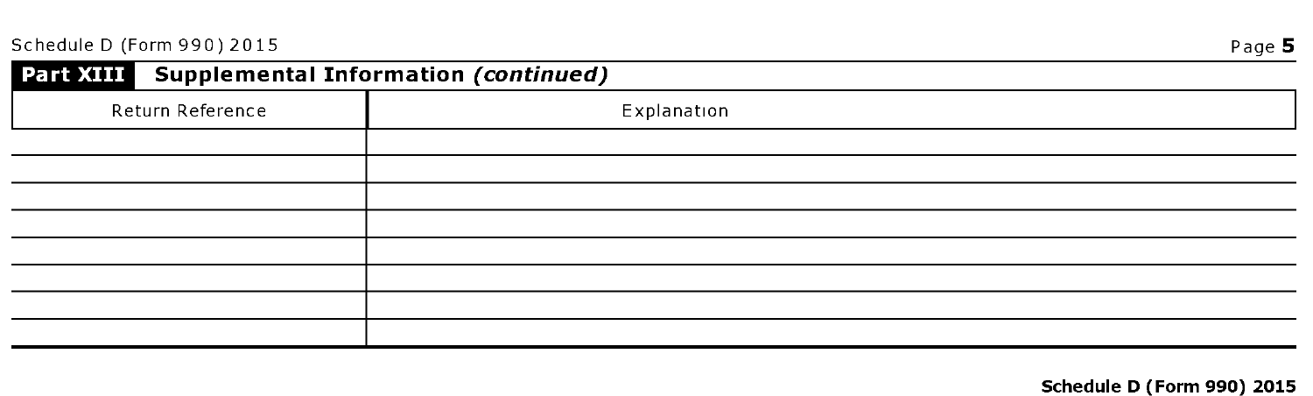| Part XIII Supplemental Information (continued) |             |
|------------------------------------------------|-------------|
| Return Reference                               | Explanation |
|                                                |             |
|                                                |             |
|                                                |             |
|                                                |             |
|                                                |             |
|                                                |             |
|                                                |             |
|                                                |             |

## Schedule D (Form 990) 2015